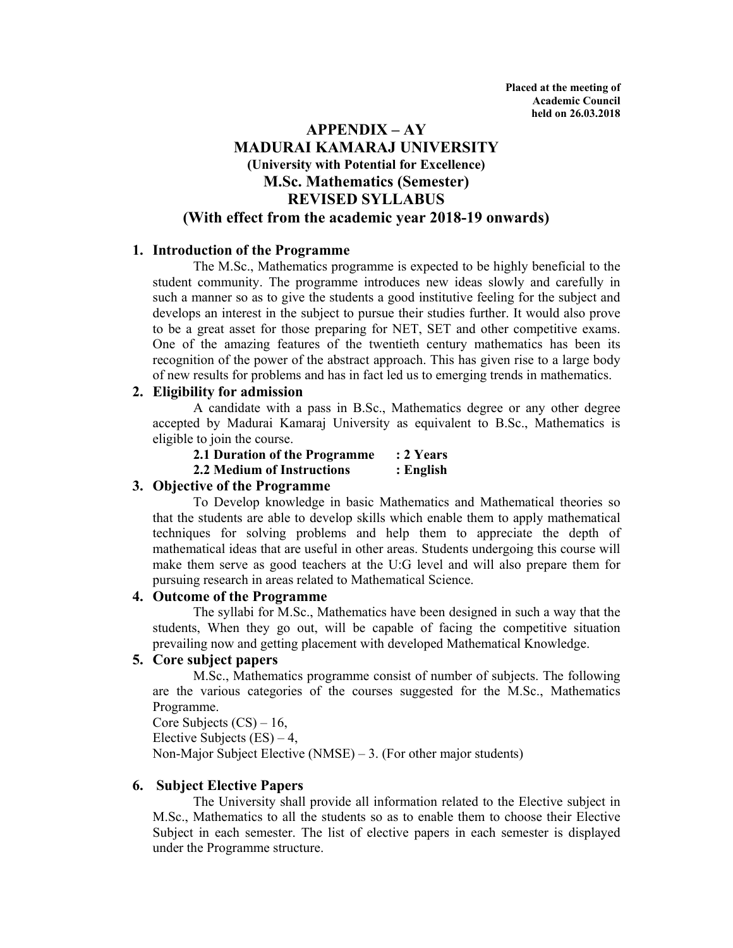# **APPENDIX – AY MADURAI KAMARAJ UNIVERSITY (University with Potential for Excellence) M.Sc. Mathematics (Semester) REVISED SYLLABUS (With effect from the academic year 2018-19 onwards)**

## **1. Introduction of the Programme**

The M.Sc., Mathematics programme is expected to be highly beneficial to the student community. The programme introduces new ideas slowly and carefully in such a manner so as to give the students a good institutive feeling for the subject and develops an interest in the subject to pursue their studies further. It would also prove to be a great asset for those preparing for NET, SET and other competitive exams. One of the amazing features of the twentieth century mathematics has been its recognition of the power of the abstract approach. This has given rise to a large body of new results for problems and has in fact led us to emerging trends in mathematics.

## **2. Eligibility for admission**

 A candidate with a pass in B.Sc., Mathematics degree or any other degree accepted by Madurai Kamaraj University as equivalent to B.Sc., Mathematics is eligible to join the course.

**2.1 Duration of the Programme : 2 Years 2.2 Medium of Instructions : English** 

## **3. Objective of the Programme**

 To Develop knowledge in basic Mathematics and Mathematical theories so that the students are able to develop skills which enable them to apply mathematical techniques for solving problems and help them to appreciate the depth of mathematical ideas that are useful in other areas. Students undergoing this course will make them serve as good teachers at the U:G level and will also prepare them for pursuing research in areas related to Mathematical Science.

## **4. Outcome of the Programme**

 The syllabi for M.Sc., Mathematics have been designed in such a way that the students, When they go out, will be capable of facing the competitive situation prevailing now and getting placement with developed Mathematical Knowledge.

## **5. Core subject papers**

 M.Sc., Mathematics programme consist of number of subjects. The following are the various categories of the courses suggested for the M.Sc., Mathematics Programme.

Core Subjects  $(CS) - 16$ , Elective Subjects  $(ES) - 4$ , Non-Major Subject Elective (NMSE) – 3. (For other major students)

## **6. Subject Elective Papers**

 The University shall provide all information related to the Elective subject in M.Sc., Mathematics to all the students so as to enable them to choose their Elective Subject in each semester. The list of elective papers in each semester is displayed under the Programme structure.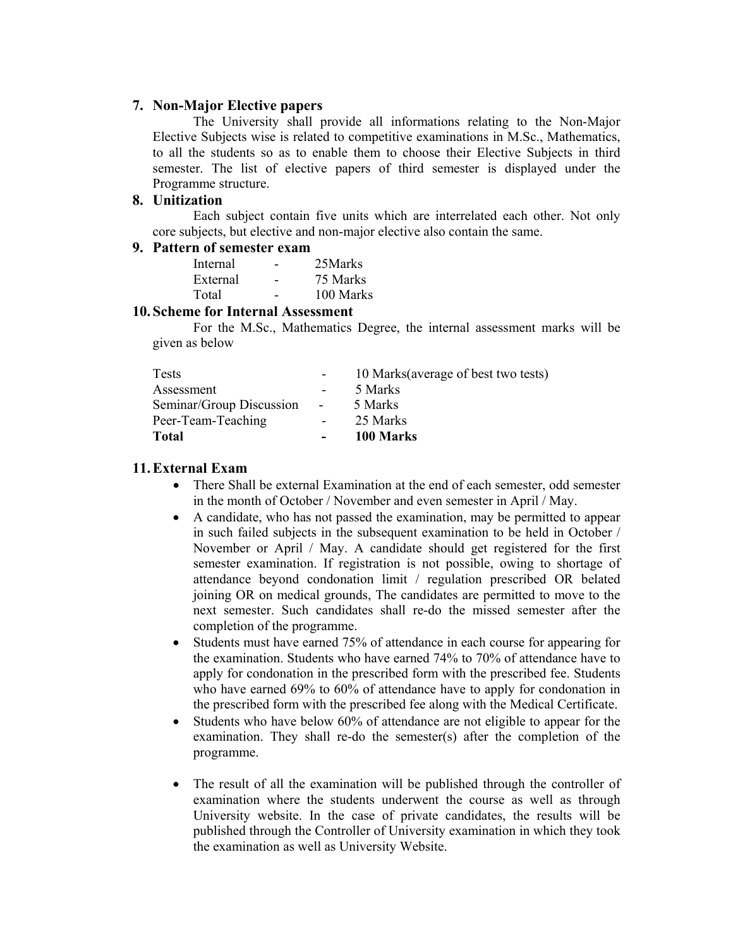#### **7. Non-Major Elective papers**

 The University shall provide all informations relating to the Non-Major Elective Subjects wise is related to competitive examinations in M.Sc., Mathematics, to all the students so as to enable them to choose their Elective Subjects in third semester. The list of elective papers of third semester is displayed under the Programme structure.

### **8. Unitization**

 Each subject contain five units which are interrelated each other. Not only core subjects, but elective and non-major elective also contain the same.

#### **9. Pattern of semester exam**

| Internal | 25Marks   |
|----------|-----------|
| External | 75 Marks  |
| Total    | 100 Marks |

#### **10.Scheme for Internal Assessment**

 For the M.Sc., Mathematics Degree, the internal assessment marks will be given as below

| <b>Tests</b>             |        | 10 Marks (average of best two tests) |
|--------------------------|--------|--------------------------------------|
| Assessment               |        | 5 Marks                              |
| Seminar/Group Discussion | $\sim$ | 5 Marks                              |
| Peer-Team-Teaching       |        | 25 Marks                             |
| <b>Total</b>             | $\sim$ | 100 Marks                            |

#### **11.External Exam**

- There Shall be external Examination at the end of each semester, odd semester in the month of October / November and even semester in April / May.
- A candidate, who has not passed the examination, may be permitted to appear in such failed subjects in the subsequent examination to be held in October / November or April / May. A candidate should get registered for the first semester examination. If registration is not possible, owing to shortage of attendance beyond condonation limit / regulation prescribed OR belated joining OR on medical grounds, The candidates are permitted to move to the next semester. Such candidates shall re-do the missed semester after the completion of the programme.
- Students must have earned 75% of attendance in each course for appearing for the examination. Students who have earned 74% to 70% of attendance have to apply for condonation in the prescribed form with the prescribed fee. Students who have earned 69% to 60% of attendance have to apply for condonation in the prescribed form with the prescribed fee along with the Medical Certificate.
- Students who have below 60% of attendance are not eligible to appear for the examination. They shall re-do the semester(s) after the completion of the programme.
- The result of all the examination will be published through the controller of examination where the students underwent the course as well as through University website. In the case of private candidates, the results will be published through the Controller of University examination in which they took the examination as well as University Website.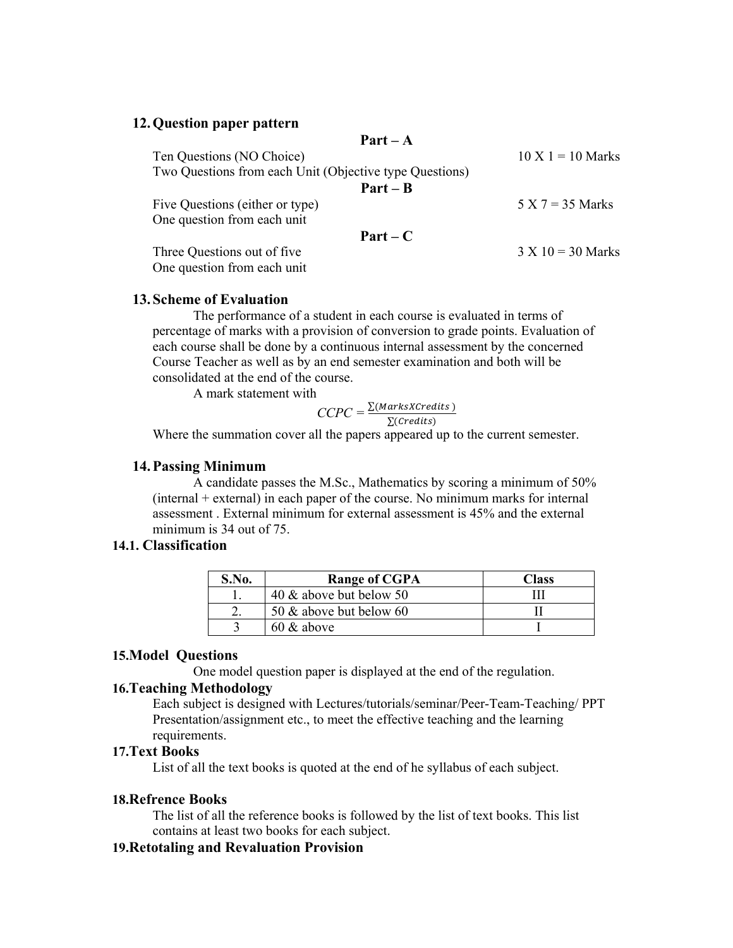#### **12.Question paper pattern**

**Part – A** 

| Ten Questions (NO Choice)                               | $10 X 1 = 10 Marks$ |
|---------------------------------------------------------|---------------------|
| Two Questions from each Unit (Objective type Questions) |                     |
| $Part - B$                                              |                     |
| Five Questions (either or type)                         | $5 X 7 = 35 Marks$  |
| One question from each unit                             |                     |
| $Part - C$                                              |                     |
| Three Questions out of five.                            | $3 X 10 = 30$ Marks |
| One question from each unit                             |                     |

#### **13.Scheme of Evaluation**

 The performance of a student in each course is evaluated in terms of percentage of marks with a provision of conversion to grade points. Evaluation of each course shall be done by a continuous internal assessment by the concerned Course Teacher as well as by an end semester examination and both will be consolidated at the end of the course.

A mark statement with

$$
CCPC = \frac{\sum (MarksXCredits)}{\sum (Credits)}
$$

Where the summation cover all the papers appeared up to the current semester.

#### **14.Passing Minimum**

 A candidate passes the M.Sc., Mathematics by scoring a minimum of 50%  $(internal + external)$  in each paper of the course. No minimum marks for internal assessment . External minimum for external assessment is 45% and the external minimum is 34 out of 75.

#### **14.1. Classification**

| <b>S.No.</b> | <b>Range of CGPA</b>    | Class |
|--------------|-------------------------|-------|
|              | 40 & above but below 50 |       |
|              | 50 & above but below 60 |       |
|              | $60 \&$ above           |       |

#### **15.Model Questions**

One model question paper is displayed at the end of the regulation.

### **16.Teaching Methodology**

Each subject is designed with Lectures/tutorials/seminar/Peer-Team-Teaching/ PPT Presentation/assignment etc., to meet the effective teaching and the learning requirements.

### **17.Text Books**

List of all the text books is quoted at the end of he syllabus of each subject.

#### **18.Refrence Books**

The list of all the reference books is followed by the list of text books. This list contains at least two books for each subject.

## **19.Retotaling and Revaluation Provision**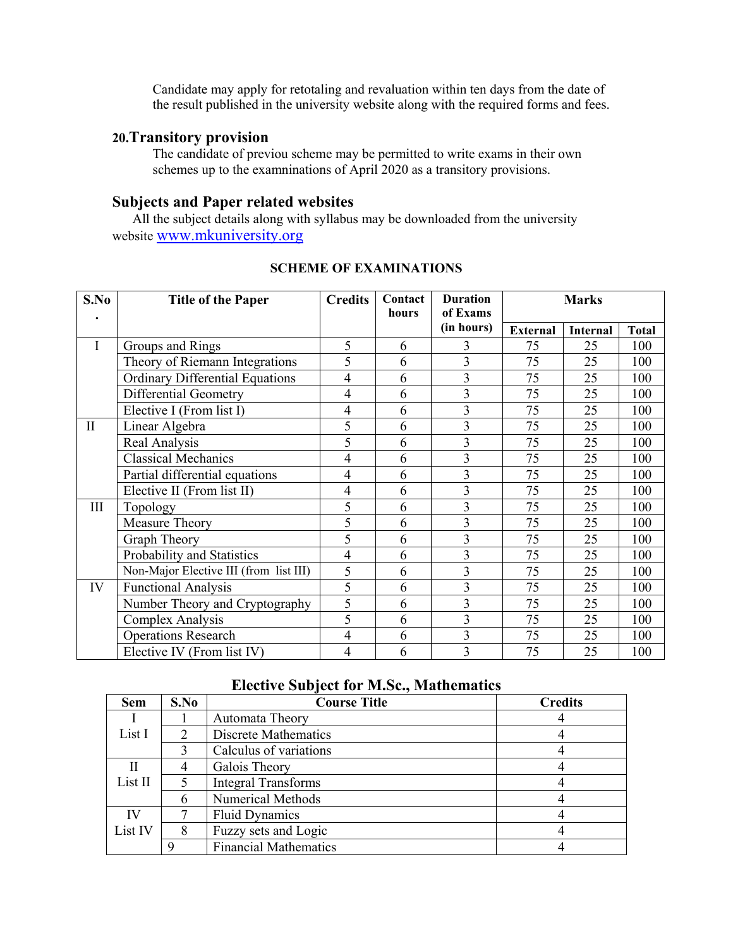Candidate may apply for retotaling and revaluation within ten days from the date of the result published in the university website along with the required forms and fees.

## **20.Transitory provision**

The candidate of previou scheme may be permitted to write exams in their own schemes up to the examninations of April 2020 as a transitory provisions.

# **Subjects and Paper related websites**

 All the subject details along with syllabus may be downloaded from the university website www.mkuniversity.org

| S.No         | <b>Title of the Paper</b>              | <b>Credits</b> | Contact<br>hours | <b>Duration</b><br>of Exams | <b>Marks</b>    |                 |              |
|--------------|----------------------------------------|----------------|------------------|-----------------------------|-----------------|-----------------|--------------|
|              |                                        |                |                  | (in hours)                  | <b>External</b> | <b>Internal</b> | <b>Total</b> |
| I            | Groups and Rings                       | 5              | 6                | 3                           | 75              | 25              | 100          |
|              | Theory of Riemann Integrations         | 5              | 6                | 3                           | 75              | 25              | 100          |
|              | <b>Ordinary Differential Equations</b> | 4              | 6                | 3                           | 75              | 25              | 100          |
|              | <b>Differential Geometry</b>           | 4              | 6                | 3                           | 75              | 25              | 100          |
|              | Elective I (From list I)               | 4              | 6                | 3                           | 75              | 25              | 100          |
| $\mathbf{I}$ | Linear Algebra                         | 5              | 6                | 3                           | 75              | 25              | 100          |
|              | Real Analysis                          | 5              | 6                | 3                           | 75              | 25              | 100          |
|              | <b>Classical Mechanics</b>             | 4              | 6                | 3                           | 75              | 25              | 100          |
|              | Partial differential equations         | 4              | 6                | 3                           | 75              | 25              | 100          |
|              | Elective II (From list II)             | 4              | 6                | 3                           | 75              | 25              | 100          |
| III          | Topology                               | 5              | 6                | 3                           | 75              | 25              | 100          |
|              | Measure Theory                         | $\overline{5}$ | 6                | 3                           | 75              | 25              | 100          |
|              | Graph Theory                           | 5              | 6                | 3                           | 75              | 25              | 100          |
|              | Probability and Statistics             | 4              | 6                | 3                           | 75              | 25              | 100          |
|              | Non-Major Elective III (from list III) | 5              | 6                | 3                           | 75              | 25              | 100          |
| IV           | <b>Functional Analysis</b>             | 5              | 6                | 3                           | 75              | 25              | 100          |
|              | Number Theory and Cryptography         | 5              | 6                | 3                           | 75              | 25              | 100          |
|              | Complex Analysis                       | 5              | 6                | 3                           | 75              | 25              | 100          |
|              | <b>Operations Research</b>             | $\overline{4}$ | 6                | 3                           | 75              | 25              | 100          |
|              | Elective IV (From list IV)             | 4              | 6                | 3                           | 75              | 25              | 100          |

#### **SCHEME OF EXAMINATIONS**

## **Elective Subject for M.Sc., Mathematics**

| <b>Sem</b> | S.No          | <b>Course Title</b>          | <b>Credits</b> |
|------------|---------------|------------------------------|----------------|
|            |               | Automata Theory              |                |
| List I     | $\mathcal{P}$ | Discrete Mathematics         |                |
|            |               | Calculus of variations       |                |
|            |               | Galois Theory                |                |
| List II    | 5             | <b>Integral Transforms</b>   |                |
|            | 6             | <b>Numerical Methods</b>     |                |
| IV         |               | <b>Fluid Dynamics</b>        |                |
| List IV    |               | Fuzzy sets and Logic         |                |
|            |               | <b>Financial Mathematics</b> |                |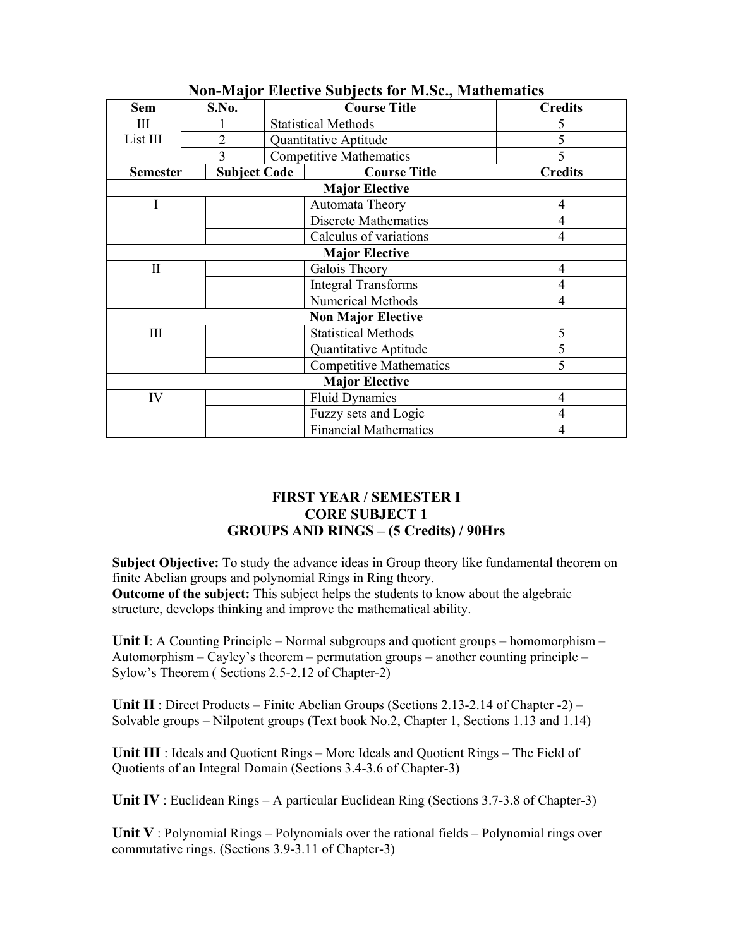| <b>Sem</b>                | S.No.               | <b>Course Title</b>             |                                | <b>Credits</b> |  |  |
|---------------------------|---------------------|---------------------------------|--------------------------------|----------------|--|--|
| Ш                         |                     | <b>Statistical Methods</b>      |                                |                |  |  |
| List III                  | $\overline{2}$      |                                 | Quantitative Aptitude          |                |  |  |
|                           | 3                   |                                 | <b>Competitive Mathematics</b> |                |  |  |
| <b>Semester</b>           | <b>Subject Code</b> | <b>Course Title</b>             |                                | <b>Credits</b> |  |  |
| <b>Major Elective</b>     |                     |                                 |                                |                |  |  |
| I                         |                     |                                 | Automata Theory                | $\overline{4}$ |  |  |
|                           |                     |                                 | <b>Discrete Mathematics</b>    | 4              |  |  |
| Calculus of variations    |                     | 4                               |                                |                |  |  |
| <b>Major Elective</b>     |                     |                                 |                                |                |  |  |
| $\mathbf{I}$              |                     | Galois Theory<br>$\overline{4}$ |                                |                |  |  |
|                           |                     |                                 | <b>Integral Transforms</b>     |                |  |  |
| <b>Numerical Methods</b>  |                     | 4                               |                                |                |  |  |
| <b>Non Major Elective</b> |                     |                                 |                                |                |  |  |
| III                       |                     |                                 | <b>Statistical Methods</b>     | 5              |  |  |
|                           |                     |                                 | Quantitative Aptitude          |                |  |  |
|                           |                     |                                 | <b>Competitive Mathematics</b> | 5              |  |  |
| <b>Major Elective</b>     |                     |                                 |                                |                |  |  |
| IV                        |                     |                                 | <b>Fluid Dynamics</b>          | 4              |  |  |
|                           |                     | Fuzzy sets and Logic            |                                |                |  |  |
|                           |                     |                                 | <b>Financial Mathematics</b>   |                |  |  |

# **Non-Major Elective Subjects for M.Sc., Mathematics**

# **FIRST YEAR / SEMESTER I CORE SUBJECT 1 GROUPS AND RINGS – (5 Credits) / 90Hrs**

**Subject Objective:** To study the advance ideas in Group theory like fundamental theorem on finite Abelian groups and polynomial Rings in Ring theory. **Outcome of the subject:** This subject helps the students to know about the algebraic structure, develops thinking and improve the mathematical ability.

**Unit I**: A Counting Principle – Normal subgroups and quotient groups – homomorphism – Automorphism – Cayley's theorem – permutation groups – another counting principle – Sylow's Theorem ( Sections 2.5-2.12 of Chapter-2)

**Unit II** : Direct Products – Finite Abelian Groups (Sections 2.13-2.14 of Chapter -2) – Solvable groups – Nilpotent groups (Text book No.2, Chapter 1, Sections 1.13 and 1.14)

**Unit III** : Ideals and Quotient Rings – More Ideals and Quotient Rings – The Field of Quotients of an Integral Domain (Sections 3.4-3.6 of Chapter-3)

**Unit IV** : Euclidean Rings – A particular Euclidean Ring (Sections 3.7-3.8 of Chapter-3)

**Unit V** : Polynomial Rings – Polynomials over the rational fields – Polynomial rings over commutative rings. (Sections 3.9-3.11 of Chapter-3)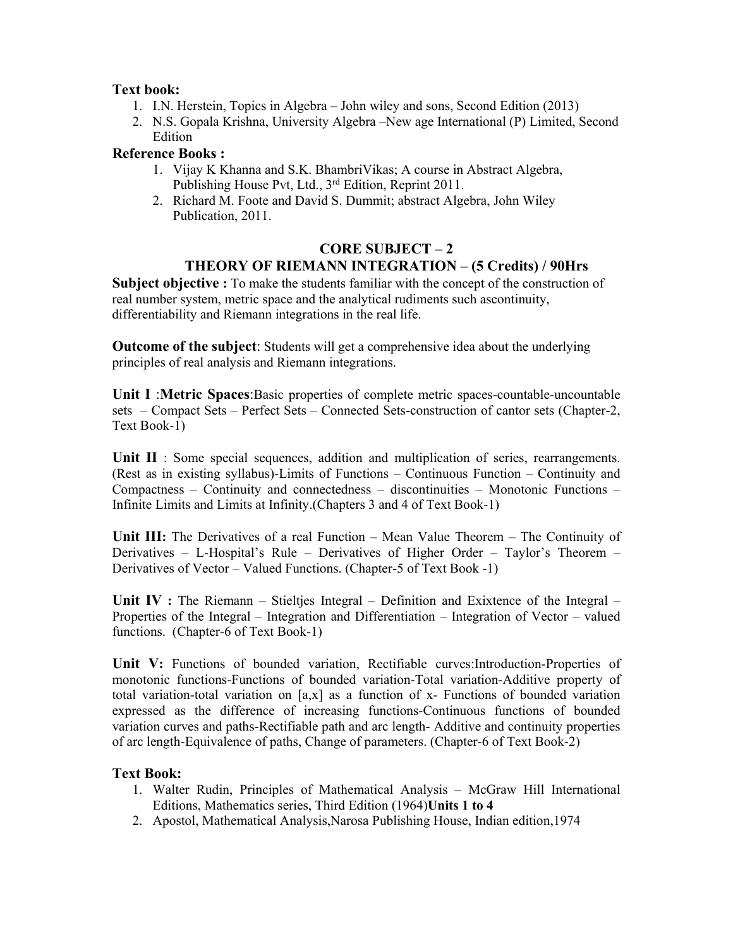## **Text book:**

- 1. I.N. Herstein, Topics in Algebra John wiley and sons, Second Edition (2013)
- 2. N.S. Gopala Krishna, University Algebra –New age International (P) Limited, Second Edition

### **Reference Books :**

- 1. Vijay K Khanna and S.K. BhambriVikas; A course in Abstract Algebra, Publishing House Pvt, Ltd., 3<sup>rd</sup> Edition, Reprint 2011.
- 2. Richard M. Foote and David S. Dummit; abstract Algebra, John Wiley Publication, 2011.

### **CORE SUBJECT – 2 THEORY OF RIEMANN INTEGRATION – (5 Credits) / 90Hrs**

**Subject objective :** To make the students familiar with the concept of the construction of real number system, metric space and the analytical rudiments such ascontinuity, differentiability and Riemann integrations in the real life.

**Outcome of the subject**: Students will get a comprehensive idea about the underlying principles of real analysis and Riemann integrations.

**Unit I** :**Metric Spaces**:Basic properties of complete metric spaces-countable-uncountable sets – Compact Sets – Perfect Sets – Connected Sets-construction of cantor sets (Chapter-2, Text Book-1)

Unit II : Some special sequences, addition and multiplication of series, rearrangements. (Rest as in existing syllabus)-Limits of Functions – Continuous Function – Continuity and Compactness – Continuity and connectedness – discontinuities – Monotonic Functions – Infinite Limits and Limits at Infinity.(Chapters 3 and 4 of Text Book-1)

**Unit III:** The Derivatives of a real Function – Mean Value Theorem – The Continuity of Derivatives – L-Hospital's Rule – Derivatives of Higher Order – Taylor's Theorem – Derivatives of Vector – Valued Functions. (Chapter-5 of Text Book -1)

**Unit IV :** The Riemann – Stieltjes Integral – Definition and Exixtence of the Integral – Properties of the Integral – Integration and Differentiation – Integration of Vector – valued functions. (Chapter-6 of Text Book-1)

**Unit V:** Functions of bounded variation, Rectifiable curves:Introduction-Properties of monotonic functions-Functions of bounded variation-Total variation-Additive property of total variation-total variation on [a,x] as a function of x- Functions of bounded variation expressed as the difference of increasing functions-Continuous functions of bounded variation curves and paths-Rectifiable path and arc length- Additive and continuity properties of arc length-Equivalence of paths, Change of parameters. (Chapter-6 of Text Book-2)

## **Text Book:**

- 1. Walter Rudin, Principles of Mathematical Analysis McGraw Hill International Editions, Mathematics series, Third Edition (1964)**Units 1 to 4**
- 2. Apostol, Mathematical Analysis,Narosa Publishing House, Indian edition,1974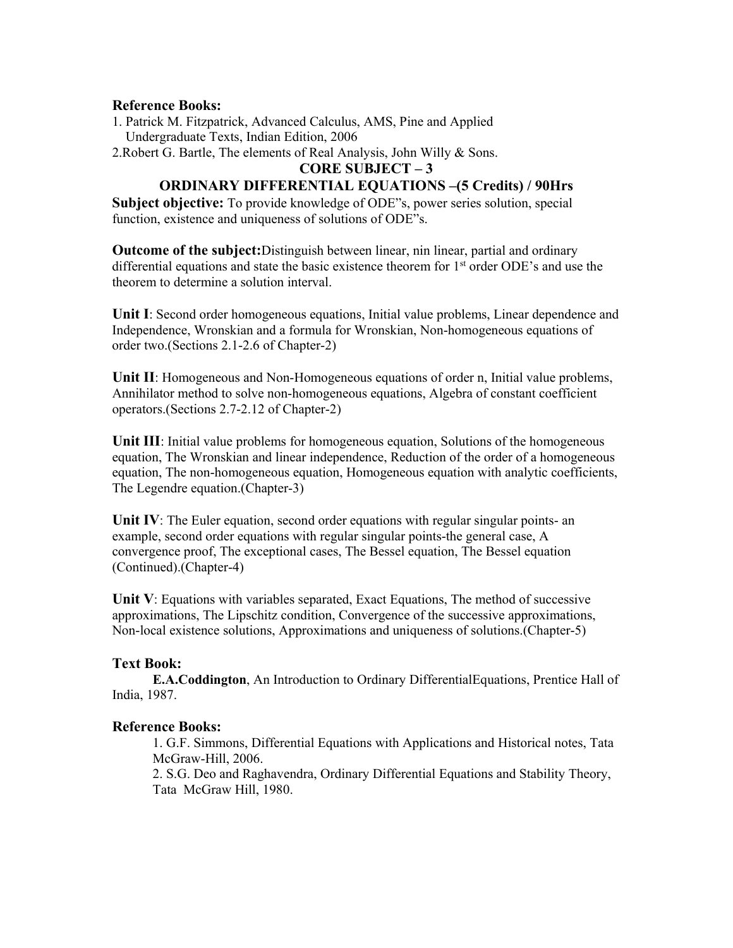#### **Reference Books:**

- 1. Patrick M. Fitzpatrick, Advanced Calculus, AMS, Pine and Applied Undergraduate Texts, Indian Edition, 2006
- 2.Robert G. Bartle, The elements of Real Analysis, John Willy & Sons.

#### **CORE SUBJECT – 3**

# **ORDINARY DIFFERENTIAL EQUATIONS –(5 Credits) / 90Hrs**

**Subject objective:** To provide knowledge of ODE"s, power series solution, special function, existence and uniqueness of solutions of ODE"s.

**Outcome of the subject:**Distinguish between linear, nin linear, partial and ordinary differential equations and state the basic existence theorem for 1<sup>st</sup> order ODE's and use the theorem to determine a solution interval.

**Unit I**: Second order homogeneous equations, Initial value problems, Linear dependence and Independence, Wronskian and a formula for Wronskian, Non-homogeneous equations of order two.(Sections 2.1-2.6 of Chapter-2)

Unit II: Homogeneous and Non-Homogeneous equations of order n, Initial value problems, Annihilator method to solve non-homogeneous equations, Algebra of constant coefficient operators.(Sections 2.7-2.12 of Chapter-2)

Unit III: Initial value problems for homogeneous equation, Solutions of the homogeneous equation, The Wronskian and linear independence, Reduction of the order of a homogeneous equation, The non-homogeneous equation, Homogeneous equation with analytic coefficients, The Legendre equation.(Chapter-3)

**Unit IV**: The Euler equation, second order equations with regular singular points- an example, second order equations with regular singular points-the general case, A convergence proof, The exceptional cases, The Bessel equation, The Bessel equation (Continued).(Chapter-4)

Unit V: Equations with variables separated, Exact Equations, The method of successive approximations, The Lipschitz condition, Convergence of the successive approximations, Non-local existence solutions, Approximations and uniqueness of solutions.(Chapter-5)

## **Text Book:**

**E.A.Coddington**, An Introduction to Ordinary DifferentialEquations, Prentice Hall of India, 1987.

## **Reference Books:**

1. G.F. Simmons, Differential Equations with Applications and Historical notes, Tata McGraw-Hill, 2006.

2. S.G. Deo and Raghavendra, Ordinary Differential Equations and Stability Theory, Tata McGraw Hill, 1980.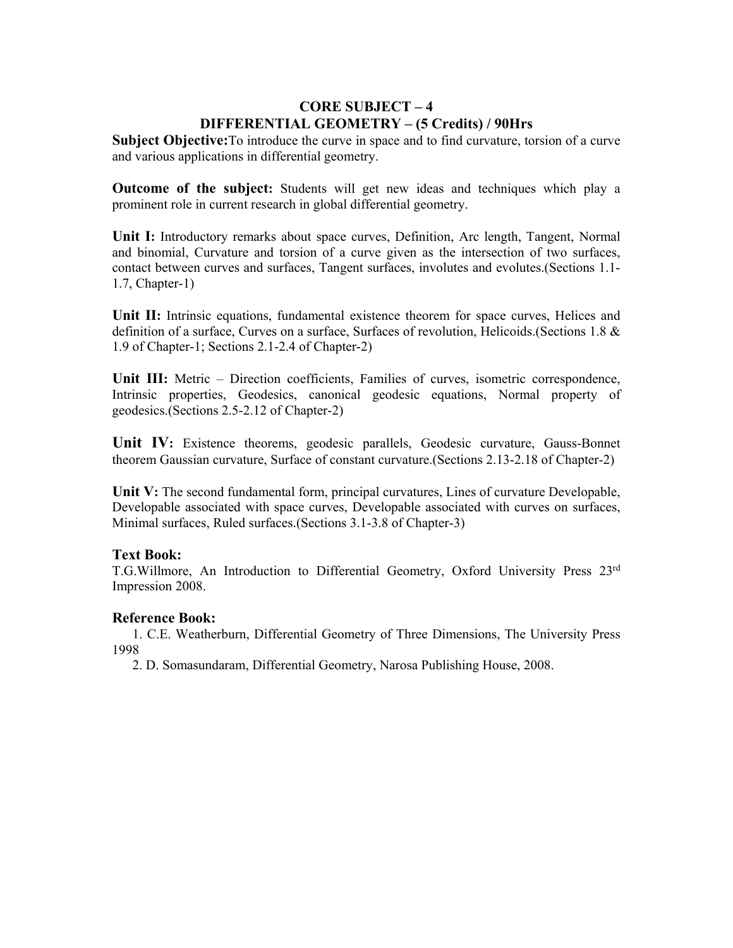# **CORE SUBJECT – 4 DIFFERENTIAL GEOMETRY – (5 Credits) / 90Hrs**

**Subject Objective:**To introduce the curve in space and to find curvature, torsion of a curve and various applications in differential geometry.

**Outcome of the subject:** Students will get new ideas and techniques which play a prominent role in current research in global differential geometry.

**Unit I:** Introductory remarks about space curves, Definition, Arc length, Tangent, Normal and binomial, Curvature and torsion of a curve given as the intersection of two surfaces, contact between curves and surfaces, Tangent surfaces, involutes and evolutes.(Sections 1.1- 1.7, Chapter-1)

**Unit II:** Intrinsic equations, fundamental existence theorem for space curves, Helices and definition of a surface, Curves on a surface, Surfaces of revolution, Helicoids.(Sections 1.8 & 1.9 of Chapter-1; Sections 2.1-2.4 of Chapter-2)

**Unit III:** Metric – Direction coefficients, Families of curves, isometric correspondence, Intrinsic properties, Geodesics, canonical geodesic equations, Normal property of geodesics.(Sections 2.5-2.12 of Chapter-2)

**Unit IV:** Existence theorems, geodesic parallels, Geodesic curvature, Gauss-Bonnet theorem Gaussian curvature, Surface of constant curvature.(Sections 2.13-2.18 of Chapter-2)

Unit V: The second fundamental form, principal curvatures, Lines of curvature Developable, Developable associated with space curves, Developable associated with curves on surfaces, Minimal surfaces, Ruled surfaces.(Sections 3.1-3.8 of Chapter-3)

## **Text Book:**

T.G.Willmore, An Introduction to Differential Geometry, Oxford University Press 23rd Impression 2008.

## **Reference Book:**

1. C.E. Weatherburn, Differential Geometry of Three Dimensions, The University Press 1998

2. D. Somasundaram, Differential Geometry, Narosa Publishing House, 2008.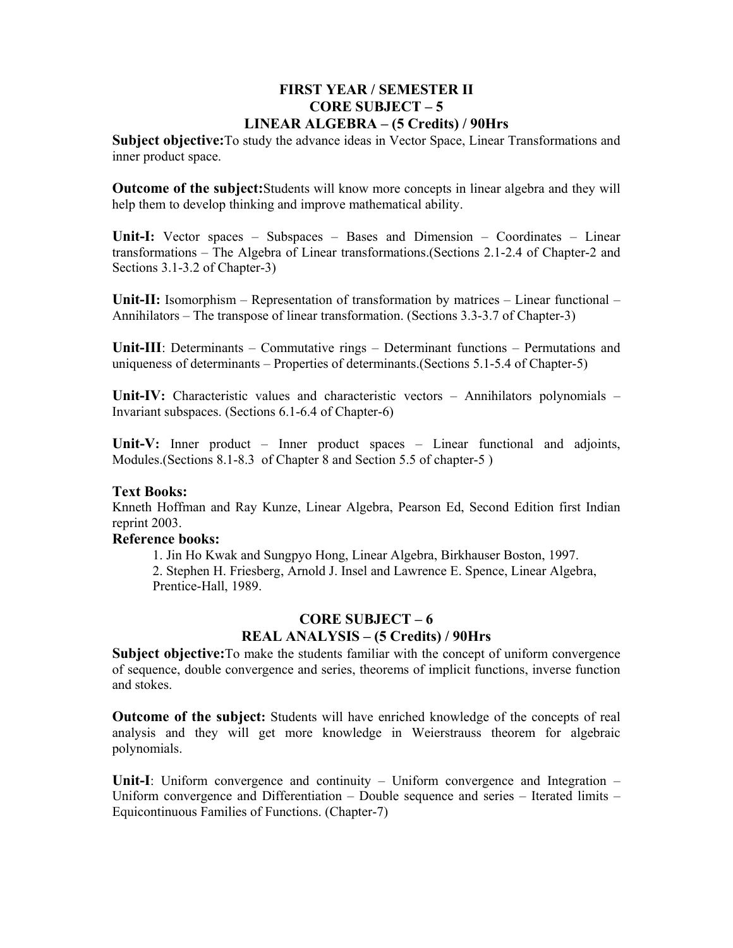## **FIRST YEAR / SEMESTER II CORE SUBJECT – 5 LINEAR ALGEBRA – (5 Credits) / 90Hrs**

**Subject objective:**To study the advance ideas in Vector Space, Linear Transformations and inner product space.

**Outcome of the subject:**Students will know more concepts in linear algebra and they will help them to develop thinking and improve mathematical ability.

**Unit-I:** Vector spaces – Subspaces – Bases and Dimension – Coordinates – Linear transformations – The Algebra of Linear transformations.(Sections 2.1-2.4 of Chapter-2 and Sections 3.1-3.2 of Chapter-3)

**Unit-II:** Isomorphism – Representation of transformation by matrices – Linear functional – Annihilators – The transpose of linear transformation. (Sections 3.3-3.7 of Chapter-3)

**Unit-III**: Determinants – Commutative rings – Determinant functions – Permutations and uniqueness of determinants – Properties of determinants.(Sections 5.1-5.4 of Chapter-5)

**Unit-IV:** Characteristic values and characteristic vectors – Annihilators polynomials – Invariant subspaces. (Sections 6.1-6.4 of Chapter-6)

Unit-V: Inner product – Inner product spaces – Linear functional and adjoints, Modules.(Sections 8.1-8.3 of Chapter 8 and Section 5.5 of chapter-5 )

#### **Text Books:**

Knneth Hoffman and Ray Kunze, Linear Algebra, Pearson Ed, Second Edition first Indian reprint 2003.

#### **Reference books:**

 1. Jin Ho Kwak and Sungpyo Hong, Linear Algebra, Birkhauser Boston, 1997. 2. Stephen H. Friesberg, Arnold J. Insel and Lawrence E. Spence, Linear Algebra, Prentice-Hall, 1989.

## **CORE SUBJECT – 6 REAL ANALYSIS – (5 Credits) / 90Hrs**

**Subject objective:**To make the students familiar with the concept of uniform convergence of sequence, double convergence and series, theorems of implicit functions, inverse function and stokes.

**Outcome of the subject:** Students will have enriched knowledge of the concepts of real analysis and they will get more knowledge in Weierstrauss theorem for algebraic polynomials.

**Unit-I**: Uniform convergence and continuity – Uniform convergence and Integration – Uniform convergence and Differentiation – Double sequence and series – Iterated limits – Equicontinuous Families of Functions. (Chapter-7)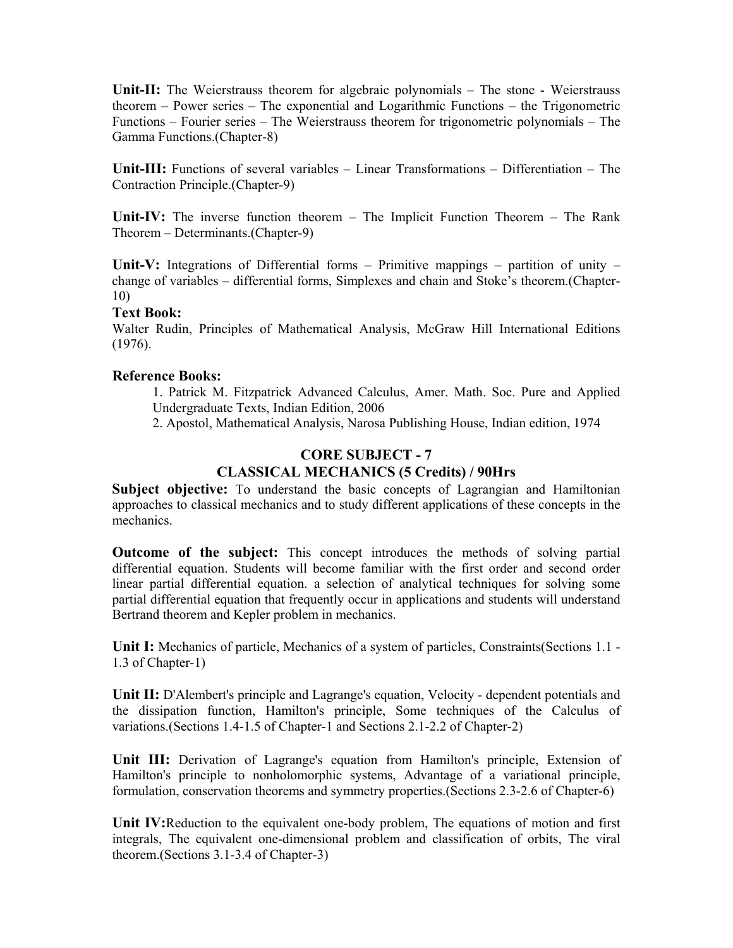**Unit-II:** The Weierstrauss theorem for algebraic polynomials – The stone - Weierstrauss theorem – Power series – The exponential and Logarithmic Functions – the Trigonometric Functions – Fourier series – The Weierstrauss theorem for trigonometric polynomials – The Gamma Functions.(Chapter-8)

**Unit-III:** Functions of several variables – Linear Transformations – Differentiation – The Contraction Principle.(Chapter-9)

**Unit-IV:** The inverse function theorem – The Implicit Function Theorem – The Rank Theorem – Determinants.(Chapter-9)

**Unit-V:** Integrations of Differential forms – Primitive mappings – partition of unity – change of variables – differential forms, Simplexes and chain and Stoke's theorem.(Chapter-10)

#### **Text Book:**

Walter Rudin, Principles of Mathematical Analysis, McGraw Hill International Editions (1976).

#### **Reference Books:**

1. Patrick M. Fitzpatrick Advanced Calculus, Amer. Math. Soc. Pure and Applied Undergraduate Texts, Indian Edition, 2006

2. Apostol, Mathematical Analysis, Narosa Publishing House, Indian edition, 1974

# **CORE SUBJECT - 7 CLASSICAL MECHANICS (5 Credits) / 90Hrs**

Subject objective: To understand the basic concepts of Lagrangian and Hamiltonian approaches to classical mechanics and to study different applications of these concepts in the mechanics.

**Outcome of the subject:** This concept introduces the methods of solving partial differential equation. Students will become familiar with the first order and second order linear partial differential equation. a selection of analytical techniques for solving some partial differential equation that frequently occur in applications and students will understand Bertrand theorem and Kepler problem in mechanics.

**Unit I:** Mechanics of particle, Mechanics of a system of particles, Constraints(Sections 1.1 - 1.3 of Chapter-1)

**Unit II:** D'Alembert's principle and Lagrange's equation, Velocity - dependent potentials and the dissipation function, Hamilton's principle, Some techniques of the Calculus of variations.(Sections 1.4-1.5 of Chapter-1 and Sections 2.1-2.2 of Chapter-2)

**Unit III:** Derivation of Lagrange's equation from Hamilton's principle, Extension of Hamilton's principle to nonholomorphic systems, Advantage of a variational principle, formulation, conservation theorems and symmetry properties.(Sections 2.3-2.6 of Chapter-6)

**Unit IV:**Reduction to the equivalent one-body problem, The equations of motion and first integrals, The equivalent one-dimensional problem and classification of orbits, The viral theorem.(Sections 3.1-3.4 of Chapter-3)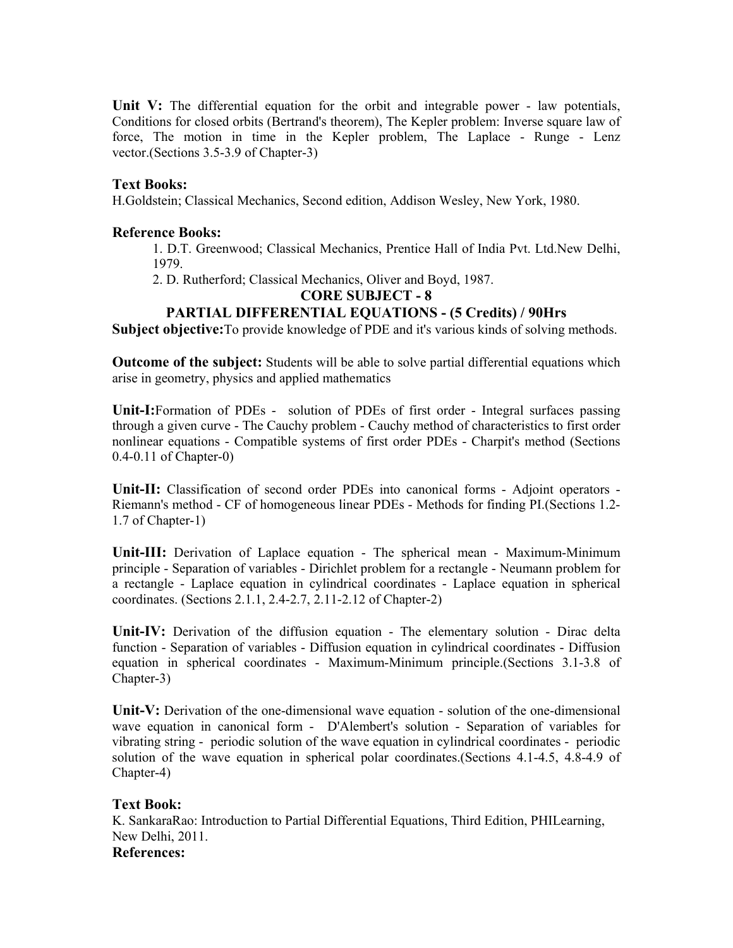Unit V: The differential equation for the orbit and integrable power - law potentials, Conditions for closed orbits (Bertrand's theorem), The Kepler problem: Inverse square law of force, The motion in time in the Kepler problem, The Laplace - Runge - Lenz vector.(Sections 3.5-3.9 of Chapter-3)

### **Text Books:**

H.Goldstein; Classical Mechanics, Second edition, Addison Wesley, New York, 1980.

### **Reference Books:**

1. D.T. Greenwood; Classical Mechanics, Prentice Hall of India Pvt. Ltd.New Delhi, 1979.

2. D. Rutherford; Classical Mechanics, Oliver and Boyd, 1987.

## **CORE SUBJECT - 8**

## **PARTIAL DIFFERENTIAL EQUATIONS - (5 Credits) / 90Hrs**

**Subject objective:**To provide knowledge of PDE and it's various kinds of solving methods.

**Outcome of the subject:** Students will be able to solve partial differential equations which arise in geometry, physics and applied mathematics

**Unit-I:**Formation of PDEs - solution of PDEs of first order - Integral surfaces passing through a given curve - The Cauchy problem - Cauchy method of characteristics to first order nonlinear equations - Compatible systems of first order PDEs - Charpit's method (Sections 0.4-0.11 of Chapter-0)

**Unit-II:** Classification of second order PDEs into canonical forms - Adjoint operators - Riemann's method - CF of homogeneous linear PDEs - Methods for finding PI.(Sections 1.2- 1.7 of Chapter-1)

**Unit-III:** Derivation of Laplace equation - The spherical mean - Maximum-Minimum principle - Separation of variables - Dirichlet problem for a rectangle - Neumann problem for a rectangle - Laplace equation in cylindrical coordinates - Laplace equation in spherical coordinates. (Sections 2.1.1, 2.4-2.7, 2.11-2.12 of Chapter-2)

**Unit-IV:** Derivation of the diffusion equation - The elementary solution - Dirac delta function - Separation of variables - Diffusion equation in cylindrical coordinates - Diffusion equation in spherical coordinates - Maximum-Minimum principle.(Sections 3.1-3.8 of Chapter-3)

**Unit-V:** Derivation of the one-dimensional wave equation - solution of the one-dimensional wave equation in canonical form - D'Alembert's solution - Separation of variables for vibrating string - periodic solution of the wave equation in cylindrical coordinates - periodic solution of the wave equation in spherical polar coordinates.(Sections 4.1-4.5, 4.8-4.9 of Chapter-4)

## **Text Book:**

K. SankaraRao: Introduction to Partial Differential Equations, Third Edition, PHILearning, New Delhi, 2011. **References:**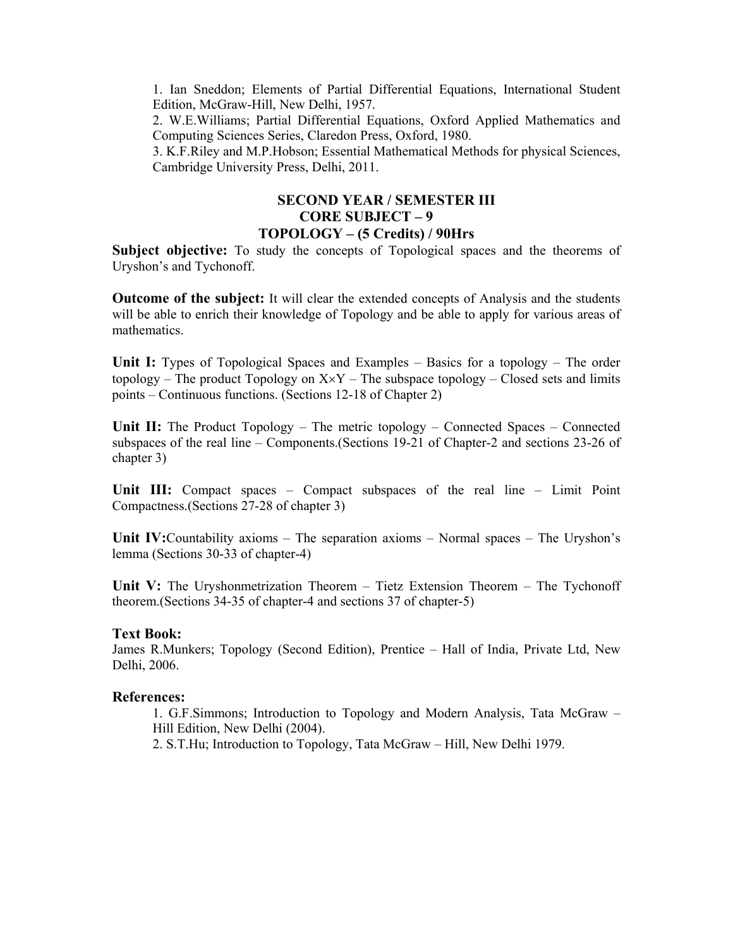1. Ian Sneddon; Elements of Partial Differential Equations, International Student Edition, McGraw-Hill, New Delhi, 1957.

2. W.E.Williams; Partial Differential Equations, Oxford Applied Mathematics and Computing Sciences Series, Claredon Press, Oxford, 1980.

3. K.F.Riley and M.P.Hobson; Essential Mathematical Methods for physical Sciences, Cambridge University Press, Delhi, 2011.

## **SECOND YEAR / SEMESTER III CORE SUBJECT – 9 TOPOLOGY – (5 Credits) / 90Hrs**

**Subject objective:** To study the concepts of Topological spaces and the theorems of Uryshon's and Tychonoff.

**Outcome of the subject:** It will clear the extended concepts of Analysis and the students will be able to enrich their knowledge of Topology and be able to apply for various areas of mathematics.

**Unit I:** Types of Topological Spaces and Examples – Basics for a topology – The order topology – The product Topology on  $X \times Y$  – The subspace topology – Closed sets and limits points – Continuous functions. (Sections 12-18 of Chapter 2)

**Unit II:** The Product Topology – The metric topology – Connected Spaces – Connected subspaces of the real line – Components.(Sections 19-21 of Chapter-2 and sections 23-26 of chapter 3)

**Unit III:** Compact spaces – Compact subspaces of the real line – Limit Point Compactness.(Sections 27-28 of chapter 3)

**Unit IV:**Countability axioms – The separation axioms – Normal spaces – The Uryshon's lemma (Sections 30-33 of chapter-4)

**Unit V:** The Uryshonmetrization Theorem – Tietz Extension Theorem – The Tychonoff theorem.(Sections 34-35 of chapter-4 and sections 37 of chapter-5)

#### **Text Book:**

James R.Munkers; Topology (Second Edition), Prentice – Hall of India, Private Ltd, New Delhi, 2006.

#### **References:**

1. G.F.Simmons; Introduction to Topology and Modern Analysis, Tata McGraw – Hill Edition, New Delhi (2004).

2. S.T.Hu; Introduction to Topology, Tata McGraw – Hill, New Delhi 1979.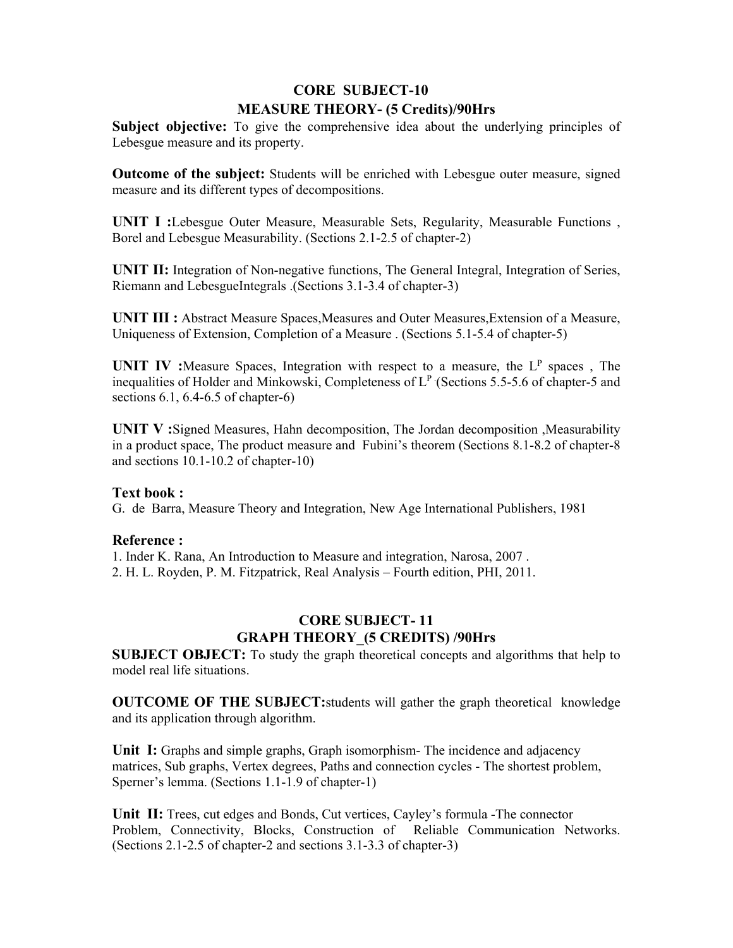# **CORE SUBJECT-10 MEASURE THEORY- (5 Credits)/90Hrs**

**Subject objective:** To give the comprehensive idea about the underlying principles of Lebesgue measure and its property.

**Outcome of the subject:** Students will be enriched with Lebesgue outer measure, signed measure and its different types of decompositions.

**UNIT I :**Lebesgue Outer Measure, Measurable Sets, Regularity, Measurable Functions , Borel and Lebesgue Measurability. (Sections 2.1-2.5 of chapter-2)

**UNIT II:** Integration of Non-negative functions, The General Integral, Integration of Series, Riemann and LebesgueIntegrals .(Sections 3.1-3.4 of chapter-3)

**UNIT III :** Abstract Measure Spaces, Measures and Outer Measures, Extension of a Measure, Uniqueness of Extension, Completion of a Measure . (Sections 5.1-5.4 of chapter-5)

**UNIT IV** : Measure Spaces, Integration with respect to a measure, the L<sup>P</sup> spaces, The inequalities of Holder and Minkowski, Completeness of  $L^P$  (Sections 5.5-5.6 of chapter-5 and sections 6.1, 6.4-6.5 of chapter-6)

**UNIT V :**Signed Measures, Hahn decomposition, The Jordan decomposition ,Measurability in a product space, The product measure and Fubini's theorem (Sections 8.1-8.2 of chapter-8 and sections 10.1-10.2 of chapter-10)

#### **Text book :**

G. de Barra, Measure Theory and Integration, New Age International Publishers, 1981

#### **Reference :**

1. Inder K. Rana, An Introduction to Measure and integration, Narosa, 2007 .

2. H. L. Royden, P. M. Fitzpatrick, Real Analysis – Fourth edition, PHI, 2011.

# **CORE SUBJECT- 11 GRAPH THEORY\_(5 CREDITS) /90Hrs**

**SUBJECT OBJECT:** To study the graph theoretical concepts and algorithms that help to model real life situations.

**OUTCOME OF THE SUBJECT:**students will gather the graph theoretical knowledge and its application through algorithm.

**Unit I:** Graphs and simple graphs, Graph isomorphism- The incidence and adjacency matrices, Sub graphs, Vertex degrees, Paths and connection cycles - The shortest problem, Sperner's lemma. (Sections 1.1-1.9 of chapter-1)

**Unit II:** Trees, cut edges and Bonds, Cut vertices, Cayley's formula -The connector Problem, Connectivity, Blocks, Construction of Reliable Communication Networks. (Sections 2.1-2.5 of chapter-2 and sections 3.1-3.3 of chapter-3)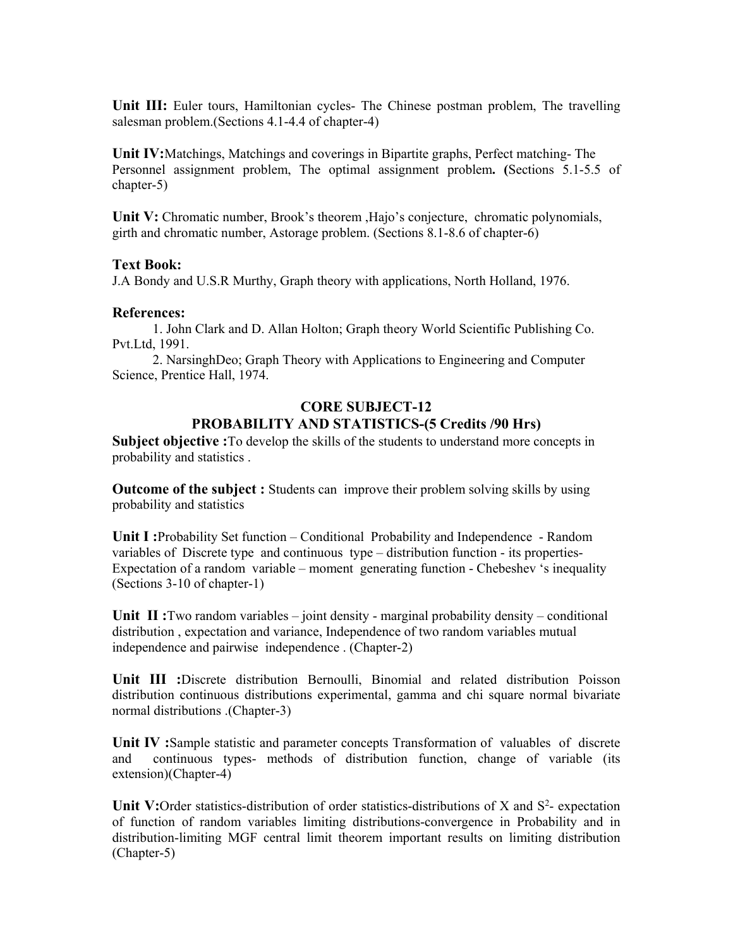**Unit III:** Euler tours, Hamiltonian cycles- The Chinese postman problem, The travelling salesman problem.(Sections 4.1-4.4 of chapter-4)

**Unit IV:**Matchings, Matchings and coverings in Bipartite graphs, Perfect matching- The Personnel assignment problem, The optimal assignment problem**. (**Sections 5.1-5.5 of chapter-5)

Unit V: Chromatic number, Brook's theorem ,Hajo's conjecture, chromatic polynomials, girth and chromatic number, Astorage problem. (Sections  $8.1$ - $8.6$  of chapter-6)

#### **Text Book:**

J.A Bondy and U.S.R Murthy, Graph theory with applications, North Holland, 1976.

#### **References:**

 1. John Clark and D. Allan Holton; Graph theory World Scientific Publishing Co. Pvt.Ltd, 1991.

 2. NarsinghDeo; Graph Theory with Applications to Engineering and Computer Science, Prentice Hall, 1974.

#### **CORE SUBJECT-12 PROBABILITY AND STATISTICS-(5 Credits /90 Hrs)**

**Subject objective :** To develop the skills of the students to understand more concepts in probability and statistics .

**Outcome of the subject :** Students can improve their problem solving skills by using probability and statistics

**Unit I :**Probability Set function – Conditional Probability and Independence - Random variables of Discrete type and continuous type – distribution function - its properties-Expectation of a random variable – moment generating function - Chebeshev 's inequality (Sections 3-10 of chapter-1)

**Unit II:** Two random variables – joint density - marginal probability density – conditional distribution , expectation and variance, Independence of two random variables mutual independence and pairwise independence . (Chapter-2)

**Unit III :**Discrete distribution Bernoulli, Binomial and related distribution Poisson distribution continuous distributions experimental, gamma and chi square normal bivariate normal distributions .(Chapter-3)

**Unit IV :**Sample statistic and parameter concepts Transformation of valuables of discrete and continuous types- methods of distribution function, change of variable (its extension)(Chapter-4)

**Unit V:**Order statistics-distribution of order statistics-distributions of X and S<sup>2</sup>- expectation of function of random variables limiting distributions-convergence in Probability and in distribution-limiting MGF central limit theorem important results on limiting distribution (Chapter-5)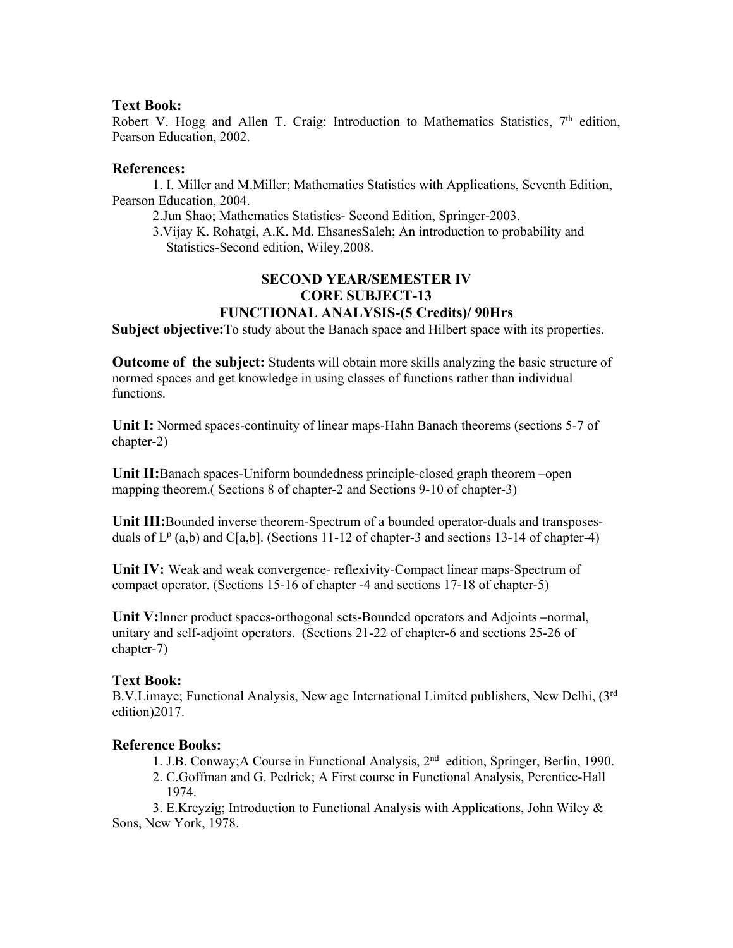#### **Text Book:**

Robert V. Hogg and Allen T. Craig: Introduction to Mathematics Statistics,  $7<sup>th</sup>$  edition, Pearson Education, 2002.

### **References:**

 1. I. Miller and M.Miller; Mathematics Statistics with Applications, Seventh Edition, Pearson Education, 2004.

2.Jun Shao; Mathematics Statistics- Second Edition, Springer-2003.

 3.Vijay K. Rohatgi, A.K. Md. EhsanesSaleh; An introduction to probability and Statistics-Second edition, Wiley,2008.

## **SECOND YEAR/SEMESTER IV CORE SUBJECT-13 FUNCTIONAL ANALYSIS-(5 Credits)/ 90Hrs**

Subject objective: To study about the Banach space and Hilbert space with its properties.

**Outcome of the subject:** Students will obtain more skills analyzing the basic structure of normed spaces and get knowledge in using classes of functions rather than individual functions.

**Unit I:** Normed spaces-continuity of linear maps-Hahn Banach theorems (sections 5-7 of chapter-2)

**Unit II:**Banach spaces-Uniform boundedness principle-closed graph theorem –open mapping theorem.( Sections 8 of chapter-2 and Sections 9-10 of chapter-3)

**Unit III:**Bounded inverse theorem-Spectrum of a bounded operator-duals and transposesduals of  $L^p$  (a,b) and C[a,b]. (Sections 11-12 of chapter-3 and sections 13-14 of chapter-4)

**Unit IV:** Weak and weak convergence- reflexivity-Compact linear maps-Spectrum of compact operator. (Sections 15-16 of chapter -4 and sections 17-18 of chapter-5)

**Unit V:**Inner product spaces-orthogonal sets-Bounded operators and Adjoints **–**normal, unitary and self-adjoint operators. (Sections 21-22 of chapter-6 and sections 25-26 of chapter-7)

## **Text Book:**

B.V.Limaye; Functional Analysis, New age International Limited publishers, New Delhi, (3rd edition)2017.

## **Reference Books:**

1. J.B. Conway;A Course in Functional Analysis, 2nd edition, Springer, Berlin, 1990.

 2. C.Goffman and G. Pedrick; A First course in Functional Analysis, Perentice-Hall 1974.

 3. E.Kreyzig; Introduction to Functional Analysis with Applications, John Wiley & Sons, New York, 1978.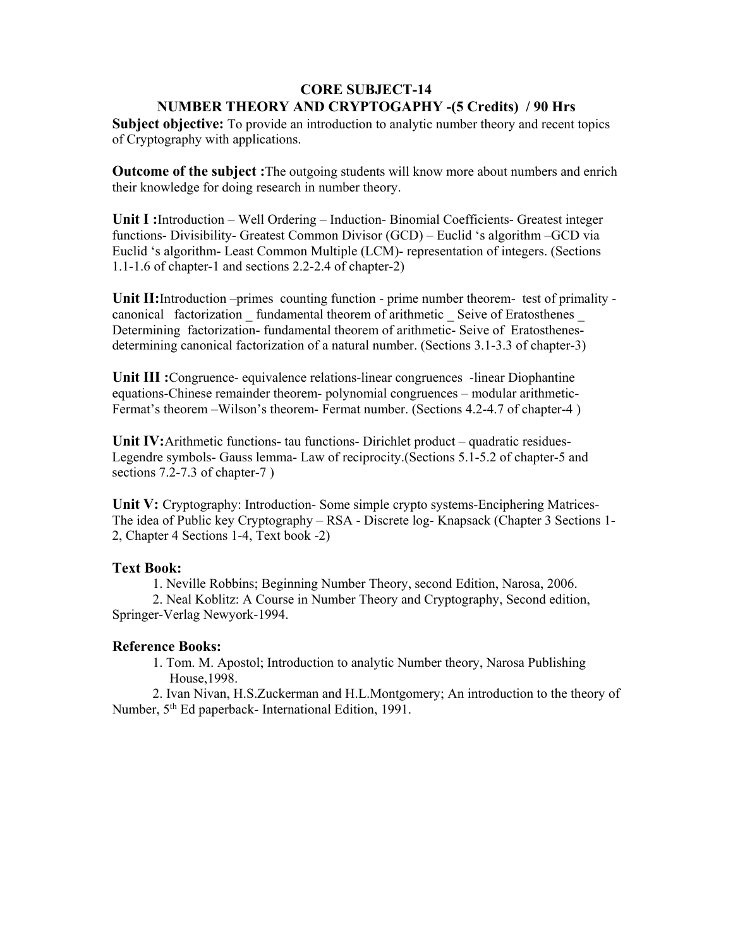## **CORE SUBJECT-14 NUMBER THEORY AND CRYPTOGAPHY -(5 Credits) / 90 Hrs**

**Subject objective:** To provide an introduction to analytic number theory and recent topics of Cryptography with applications.

**Outcome of the subject :**The outgoing students will know more about numbers and enrich their knowledge for doing research in number theory.

**Unit I :**Introduction – Well Ordering – Induction- Binomial Coefficients- Greatest integer functions- Divisibility- Greatest Common Divisor (GCD) – Euclid 's algorithm –GCD via Euclid 's algorithm- Least Common Multiple (LCM)- representation of integers. (Sections 1.1-1.6 of chapter-1 and sections 2.2-2.4 of chapter-2)

**Unit II:**Introduction –primes counting function - prime number theorem- test of primality canonical factorization fundamental theorem of arithmetic Seive of Eratosthenes Determining factorization- fundamental theorem of arithmetic- Seive of Eratosthenesdetermining canonical factorization of a natural number. (Sections 3.1-3.3 of chapter-3)

**Unit III :**Congruence- equivalence relations-linear congruences -linear Diophantine equations-Chinese remainder theorem- polynomial congruences – modular arithmetic-Fermat's theorem –Wilson's theorem- Fermat number. (Sections 4.2-4.7 of chapter-4 )

**Unit IV:**Arithmetic functions**-** tau functions- Dirichlet product – quadratic residues-Legendre symbols- Gauss lemma- Law of reciprocity.(Sections 5.1-5.2 of chapter-5 and sections 7.2-7.3 of chapter-7 )

**Unit V:** Cryptography: Introduction- Some simple crypto systems-Enciphering Matrices-The idea of Public key Cryptography – RSA - Discrete log- Knapsack (Chapter 3 Sections 1- 2, Chapter 4 Sections 1-4, Text book -2)

#### **Text Book:**

1. Neville Robbins; Beginning Number Theory, second Edition, Narosa, 2006.

 2. Neal Koblitz: A Course in Number Theory and Cryptography, Second edition, Springer-Verlag Newyork-1994.

## **Reference Books:**

 1. Tom. M. Apostol; Introduction to analytic Number theory, Narosa Publishing House,1998.

 2. Ivan Nivan, H.S.Zuckerman and H.L.Montgomery; An introduction to the theory of Number, 5<sup>th</sup> Ed paperback- International Edition, 1991.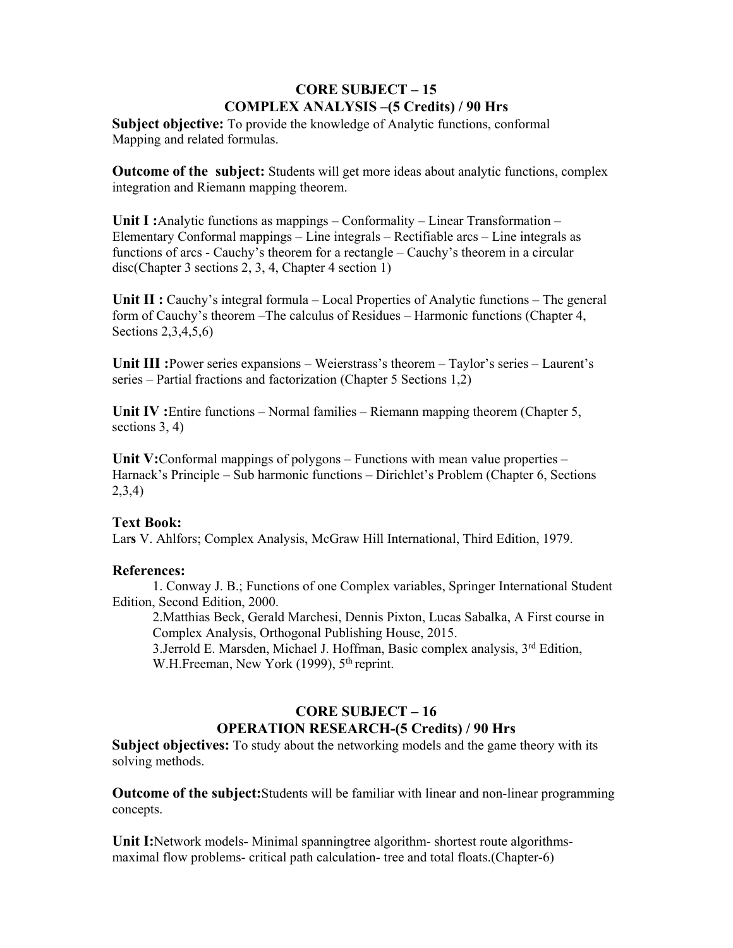# **CORE SUBJECT – 15 COMPLEX ANALYSIS –(5 Credits) / 90 Hrs**

**Subject objective:** To provide the knowledge of Analytic functions, conformal Mapping and related formulas.

**Outcome of the subject:** Students will get more ideas about analytic functions, complex integration and Riemann mapping theorem.

**Unit I :**Analytic functions as mappings – Conformality – Linear Transformation – Elementary Conformal mappings – Line integrals – Rectifiable arcs – Line integrals as functions of arcs - Cauchy's theorem for a rectangle – Cauchy's theorem in a circular disc(Chapter 3 sections 2, 3, 4, Chapter 4 section 1)

**Unit II :** Cauchy's integral formula – Local Properties of Analytic functions – The general form of Cauchy's theorem –The calculus of Residues – Harmonic functions (Chapter 4, Sections 2,3,4,5,6)

**Unit III :**Power series expansions – Weierstrass's theorem – Taylor's series – Laurent's series – Partial fractions and factorization (Chapter 5 Sections 1,2)

**Unit IV :**Entire functions – Normal families – Riemann mapping theorem (Chapter 5, sections 3, 4)

**Unit V:**Conformal mappings of polygons – Functions with mean value properties – Harnack's Principle – Sub harmonic functions – Dirichlet's Problem (Chapter 6, Sections 2,3,4)

## **Text Book:**

Lar**s** V. Ahlfors; Complex Analysis, McGraw Hill International, Third Edition, 1979.

## **References:**

1. Conway J. B.; Functions of one Complex variables, Springer International Student Edition, Second Edition, 2000.

2.Matthias Beck, Gerald Marchesi, Dennis Pixton, Lucas Sabalka, A First course in Complex Analysis, Orthogonal Publishing House, 2015.

3.Jerrold E. Marsden, Michael J. Hoffman, Basic complex analysis, 3rd Edition, W.H.Freeman, New York (1999), 5<sup>th</sup> reprint.

# **CORE SUBJECT – 16 OPERATION RESEARCH-(5 Credits) / 90 Hrs**

**Subject objectives:** To study about the networking models and the game theory with its solving methods.

**Outcome of the subject:**Students will be familiar with linear and non-linear programming concepts.

**Unit I:**Network models**-** Minimal spanningtree algorithm- shortest route algorithmsmaximal flow problems- critical path calculation- tree and total floats.(Chapter-6)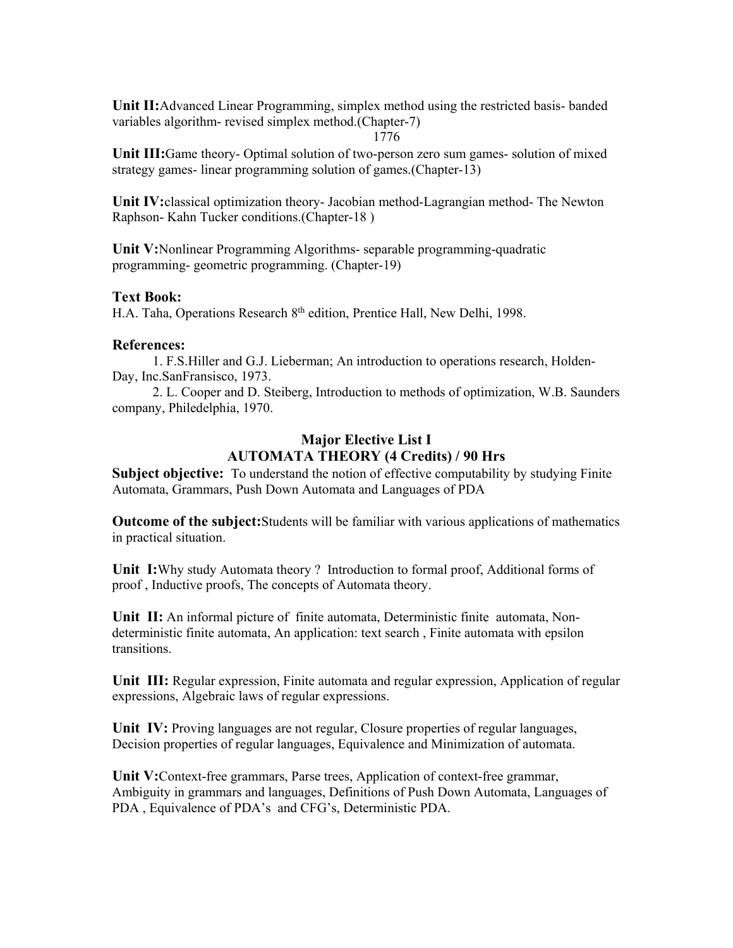**Unit II:**Advanced Linear Programming, simplex method using the restricted basis- banded variables algorithm- revised simplex method.(Chapter-7)

1776

**Unit III:**Game theory- Optimal solution of two-person zero sum games- solution of mixed strategy games- linear programming solution of games.(Chapter-13)

**Unit IV:**classical optimization theory- Jacobian method-Lagrangian method- The Newton Raphson- Kahn Tucker conditions.(Chapter-18 )

**Unit V:**Nonlinear Programming Algorithms- separable programming-quadratic programming- geometric programming. (Chapter-19)

#### **Text Book:**

H.A. Taha, Operations Research 8<sup>th</sup> edition, Prentice Hall, New Delhi, 1998.

### **References:**

 1. F.S.Hiller and G.J. Lieberman; An introduction to operations research, Holden-Day, Inc.SanFransisco, 1973.

 2. L. Cooper and D. Steiberg, Introduction to methods of optimization, W.B. Saunders company, Philedelphia, 1970.

# **Major Elective List I AUTOMATA THEORY (4 Credits) / 90 Hrs**

**Subject objective:** To understand the notion of effective computability by studying Finite Automata, Grammars, Push Down Automata and Languages of PDA

**Outcome of the subject:**Students will be familiar with various applications of mathematics in practical situation.

**Unit I:**Why study Automata theory ? Introduction to formal proof, Additional forms of proof , Inductive proofs, The concepts of Automata theory.

**Unit II:** An informal picture of finite automata, Deterministic finite automata, Nondeterministic finite automata, An application: text search , Finite automata with epsilon transitions.

**Unit III:** Regular expression, Finite automata and regular expression, Application of regular expressions, Algebraic laws of regular expressions.

**Unit IV:** Proving languages are not regular, Closure properties of regular languages, Decision properties of regular languages, Equivalence and Minimization of automata.

**Unit V:**Context-free grammars, Parse trees, Application of context-free grammar, Ambiguity in grammars and languages, Definitions of Push Down Automata, Languages of PDA , Equivalence of PDA's and CFG's, Deterministic PDA.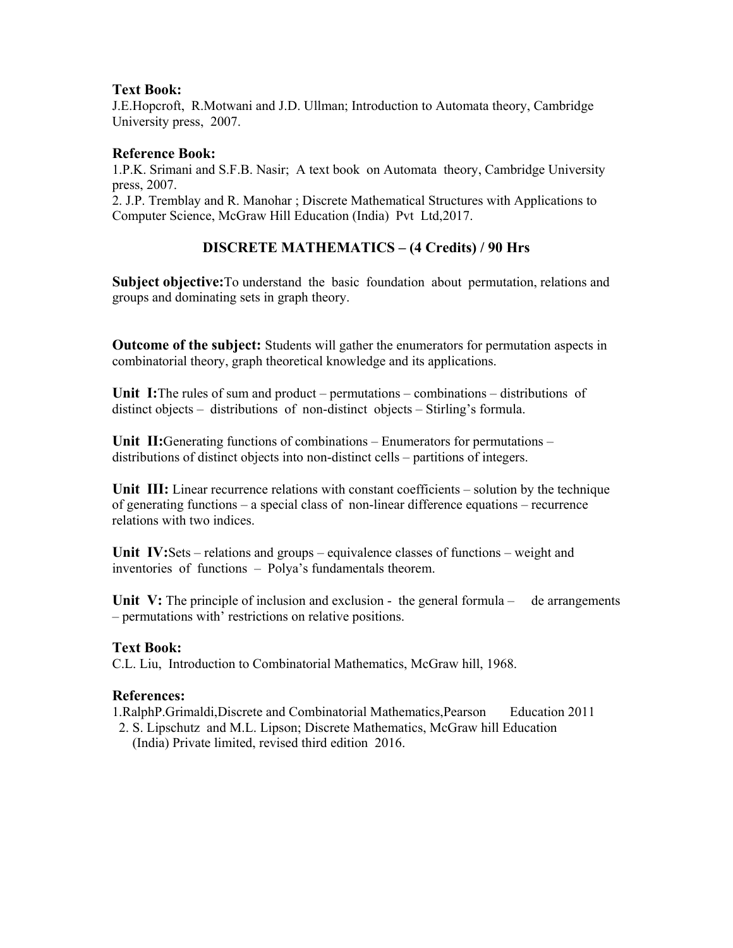## **Text Book:**

J.E.Hopcroft, R.Motwani and J.D. Ullman; Introduction to Automata theory, Cambridge University press, 2007.

## **Reference Book:**

1.P.K. Srimani and S.F.B. Nasir; A text book on Automata theory, Cambridge University press, 2007.

2. J.P. Tremblay and R. Manohar ; Discrete Mathematical Structures with Applications to Computer Science, McGraw Hill Education (India) Pvt Ltd,2017.

# **DISCRETE MATHEMATICS – (4 Credits) / 90 Hrs**

**Subject objective:** To understand the basic foundation about permutation, relations and groups and dominating sets in graph theory.

**Outcome of the subject:** Students will gather the enumerators for permutation aspects in combinatorial theory, graph theoretical knowledge and its applications.

**Unit I:**The rules of sum and product – permutations – combinations – distributions of distinct objects – distributions of non-distinct objects – Stirling's formula.

**Unit II:**Generating functions of combinations – Enumerators for permutations – distributions of distinct objects into non-distinct cells – partitions of integers.

**Unit III:** Linear recurrence relations with constant coefficients – solution by the technique of generating functions – a special class of non-linear difference equations – recurrence relations with two indices.

**Unit IV:**Sets – relations and groups – equivalence classes of functions – weight and inventories of functions – Polya's fundamentals theorem.

Unit V: The principle of inclusion and exclusion - the general formula – de arrangements – permutations with' restrictions on relative positions.

#### **Text Book:**

C.L. Liu, Introduction to Combinatorial Mathematics, McGraw hill, 1968.

#### **References:**

1.RalphP.Grimaldi,Discrete and Combinatorial Mathematics,Pearson Education 2011

 2. S. Lipschutz and M.L. Lipson; Discrete Mathematics, McGraw hill Education (India) Private limited, revised third edition 2016.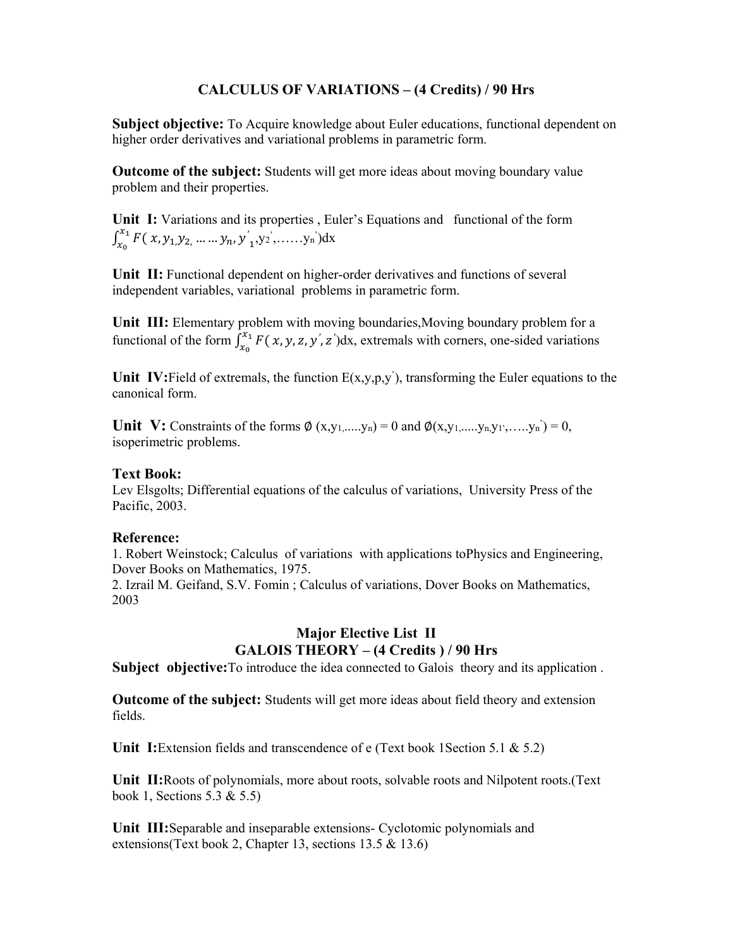## **CALCULUS OF VARIATIONS – (4 Credits) / 90 Hrs**

Subject objective: To Acquire knowledge about Euler educations, functional dependent on higher order derivatives and variational problems in parametric form.

**Outcome of the subject:** Students will get more ideas about moving boundary value problem and their properties.

Unit I: Variations and its properties, Euler's Equations and functional of the form  $\int_{x_0}^{x_1} F(x, y_1, y_2, \dots, y_n, y'_1)$  $\int_{x_0}^{x_1} F(x, y_1, y_2, \dots, y_n, y'_1, y_2, \dots, y_n) dx$ 

**Unit II:** Functional dependent on higher-order derivatives and functions of several independent variables, variational problems in parametric form.

**Unit III:** Elementary problem with moving boundaries,Moving boundary problem for a functional of the form  $\int_{x_0}^{x_1} F(x, y, z, y', z')dx$ , extremals with corners, one-sided variations

Unit IV: Field of extremals, the function  $E(x,y,p,y')$ , transforming the Euler equations to the canonical form.

**Unit V:** Constraints of the forms  $\emptyset$  (x,y<sub>1</sub>,....,y<sub>n</sub>) = 0 and  $\emptyset$ (x,y<sub>1</sub>,...,y<sub>n</sub>,y<sub>1</sub>',...,y<sub>n</sub>') = 0, isoperimetric problems.

#### **Text Book:**

Lev Elsgolts; Differential equations of the calculus of variations, University Press of the Pacific, 2003.

#### **Reference:**

1. Robert Weinstock; Calculus of variations with applications toPhysics and Engineering, Dover Books on Mathematics, 1975.

2. Izrail M. Geifand, S.V. Fomin ; Calculus of variations, Dover Books on Mathematics, 2003

## **Major Elective List II GALOIS THEORY – (4 Credits ) / 90 Hrs**

**Subject objective:**To introduce the idea connected to Galois theory and its application .

**Outcome of the subject:** Students will get more ideas about field theory and extension fields.

**Unit I:**Extension fields and transcendence of e (Text book 1Section 5.1 & 5.2)

**Unit II:**Roots of polynomials, more about roots, solvable roots and Nilpotent roots.(Text book 1, Sections 5.3 & 5.5)

**Unit III:**Separable and inseparable extensions- Cyclotomic polynomials and extensions(Text book 2, Chapter 13, sections 13.5 & 13.6)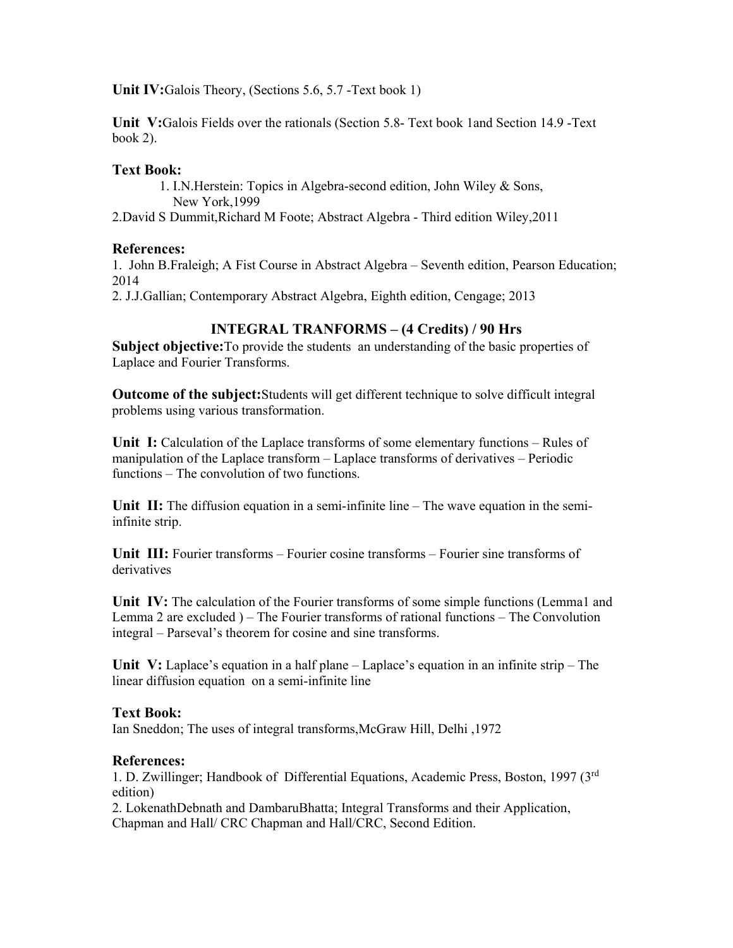**Unit IV:**Galois Theory, (Sections 5.6, 5.7 -Text book 1)

**Unit V:**Galois Fields over the rationals (Section 5.8- Text book 1and Section 14.9 -Text book 2).

### **Text Book:**

 1. I.N.Herstein: Topics in Algebra-second edition, John Wiley & Sons, New York,1999

2.David S Dummit,Richard M Foote; Abstract Algebra - Third edition Wiley,2011

### **References:**

1. John B.Fraleigh; A Fist Course in Abstract Algebra – Seventh edition, Pearson Education; 2014

2. J.J.Gallian; Contemporary Abstract Algebra, Eighth edition, Cengage; 2013

## **INTEGRAL TRANFORMS – (4 Credits) / 90 Hrs**

**Subject objective:** To provide the students an understanding of the basic properties of Laplace and Fourier Transforms.

**Outcome of the subject:**Students will get different technique to solve difficult integral problems using various transformation.

**Unit I:** Calculation of the Laplace transforms of some elementary functions – Rules of manipulation of the Laplace transform – Laplace transforms of derivatives – Periodic functions – The convolution of two functions.

**Unit II:** The diffusion equation in a semi-infinite line – The wave equation in the semiinfinite strip.

**Unit III:** Fourier transforms – Fourier cosine transforms – Fourier sine transforms of derivatives

**Unit IV:** The calculation of the Fourier transforms of some simple functions (Lemma1 and Lemma 2 are excluded ) – The Fourier transforms of rational functions – The Convolution integral – Parseval's theorem for cosine and sine transforms.

**Unit V:** Laplace's equation in a half plane – Laplace's equation in an infinite strip – The linear diffusion equation on a semi-infinite line

#### **Text Book:**

Ian Sneddon; The uses of integral transforms,McGraw Hill, Delhi ,1972

#### **References:**

1. D. Zwillinger; Handbook of Differential Equations, Academic Press, Boston, 1997 (3rd edition)

2. LokenathDebnath and DambaruBhatta; Integral Transforms and their Application, Chapman and Hall/ CRC Chapman and Hall/CRC, Second Edition.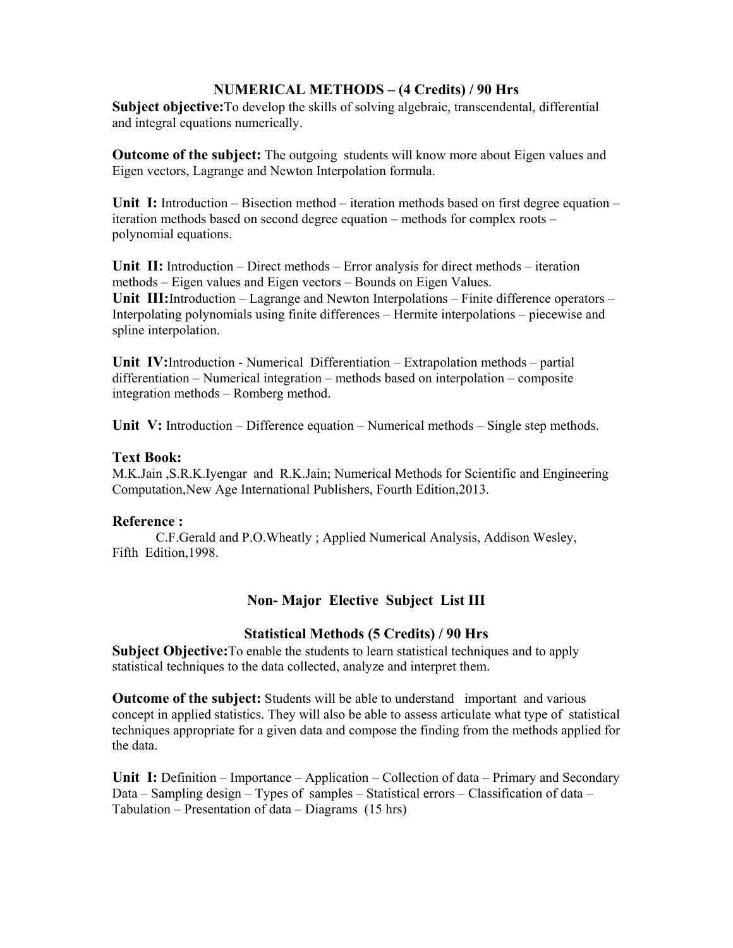## **NUMERICAL METHODS – (4 Credits) / 90 Hrs**

**Subject objective:**To develop the skills of solving algebraic, transcendental, differential and integral equations numerically.

**Outcome of the subject:** The outgoing students will know more about Eigen values and Eigen vectors, Lagrange and Newton Interpolation formula.

**Unit I:** Introduction – Bisection method – iteration methods based on first degree equation – iteration methods based on second degree equation – methods for complex roots – polynomial equations.

**Unit II:** Introduction – Direct methods – Error analysis for direct methods – iteration methods – Eigen values and Eigen vectors – Bounds on Eigen Values. **Unit III:**Introduction – Lagrange and Newton Interpolations – Finite difference operators – Interpolating polynomials using finite differences – Hermite interpolations – piecewise and spline interpolation.

**Unit IV:**Introduction - Numerical Differentiation – Extrapolation methods – partial differentiation – Numerical integration – methods based on interpolation – composite integration methods – Romberg method.

**Unit V:** Introduction – Difference equation – Numerical methods – Single step methods.

#### **Text Book:**

M.K.Jain ,S.R.K.Iyengar and R.K.Jain; Numerical Methods for Scientific and Engineering Computation,New Age International Publishers, Fourth Edition,2013.

## **Reference :**

C.F.Gerald and P.O.Wheatly ; Applied Numerical Analysis, Addison Wesley, Fifth Edition,1998.

# **Non- Major Elective Subject List III**

## **Statistical Methods (5 Credits) / 90 Hrs**

**Subject Objective:**To enable the students to learn statistical techniques and to apply statistical techniques to the data collected, analyze and interpret them.

**Outcome of the subject:** Students will be able to understand important and various concept in applied statistics. They will also be able to assess articulate what type of statistical techniques appropriate for a given data and compose the finding from the methods applied for the data.

**Unit I:** Definition – Importance – Application – Collection of data – Primary and Secondary Data – Sampling design – Types of samples – Statistical errors – Classification of data – Tabulation – Presentation of data – Diagrams  $(15 \text{ hrs})$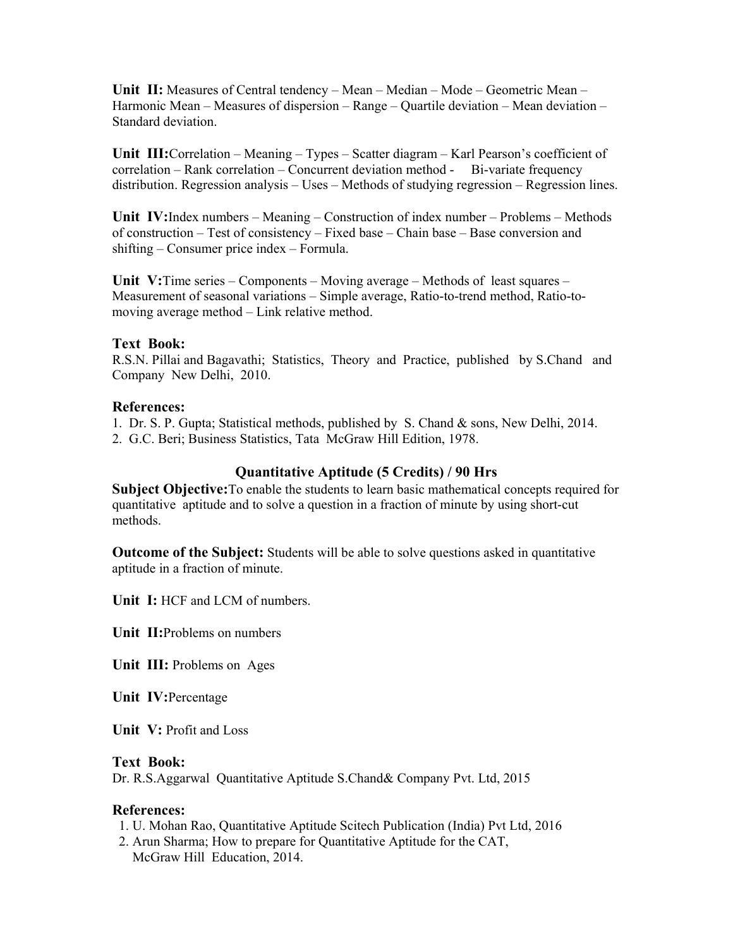**Unit II:** Measures of Central tendency – Mean – Median – Mode – Geometric Mean – Harmonic Mean – Measures of dispersion – Range – Quartile deviation – Mean deviation – Standard deviation.

**Unit III:**Correlation – Meaning – Types – Scatter diagram – Karl Pearson's coefficient of correlation – Rank correlation – Concurrent deviation method - Bi-variate frequency distribution. Regression analysis – Uses – Methods of studying regression – Regression lines.

**Unit IV:**Index numbers – Meaning – Construction of index number – Problems – Methods of construction – Test of consistency – Fixed base – Chain base – Base conversion and shifting – Consumer price index – Formula.

**Unit V:**Time series – Components – Moving average – Methods of least squares – Measurement of seasonal variations – Simple average, Ratio-to-trend method, Ratio-tomoving average method – Link relative method.

#### **Text Book:**

R.S.N. Pillai and Bagavathi; Statistics, Theory and Practice, published by S.Chand and Company New Delhi, 2010.

#### **References:**

1. Dr. S. P. Gupta; Statistical methods, published by S. Chand & sons, New Delhi, 2014.

2. G.C. Beri; Business Statistics, Tata McGraw Hill Edition, 1978.

#### **Quantitative Aptitude (5 Credits) / 90 Hrs**

**Subject Objective:**To enable the students to learn basic mathematical concepts required for quantitative aptitude and to solve a question in a fraction of minute by using short-cut methods.

**Outcome of the Subject:** Students will be able to solve questions asked in quantitative aptitude in a fraction of minute.

**Unit I:** HCF and LCM of numbers.

**Unit II:**Problems on numbers

**Unit III:** Problems on Ages

**Unit IV:**Percentage

**Unit V:** Profit and Loss

#### **Text Book:**

Dr. R.S.Aggarwal Quantitative Aptitude S.Chand& Company Pvt. Ltd, 2015

#### **References:**

- 1. U. Mohan Rao, Quantitative Aptitude Scitech Publication (India) Pvt Ltd, 2016
- 2. Arun Sharma; How to prepare for Quantitative Aptitude for the CAT, McGraw Hill Education, 2014.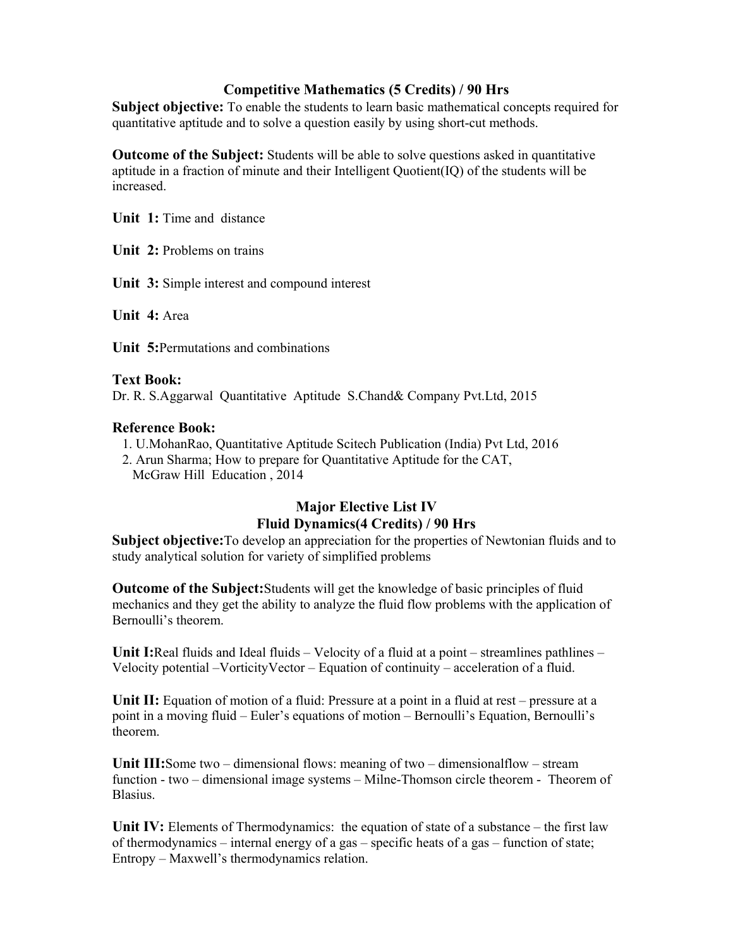## **Competitive Mathematics (5 Credits) / 90 Hrs**

**Subject objective:** To enable the students to learn basic mathematical concepts required for quantitative aptitude and to solve a question easily by using short-cut methods.

**Outcome of the Subject:** Students will be able to solve questions asked in quantitative aptitude in a fraction of minute and their Intelligent Quotient(IQ) of the students will be increased.

**Unit 1:** Time and distance

**Unit 2:** Problems on trains

**Unit 3:** Simple interest and compound interest

**Unit 4:** Area

**Unit 5:**Permutations and combinations

### **Text Book:**

Dr. R. S.Aggarwal Quantitative Aptitude S.Chand& Company Pvt.Ltd, 2015

### **Reference Book:**

- 1. U.MohanRao, Quantitative Aptitude Scitech Publication (India) Pvt Ltd, 2016
- 2. Arun Sharma; How to prepare for Quantitative Aptitude for the CAT, McGraw Hill Education , 2014

# **Major Elective List IV Fluid Dynamics(4 Credits) / 90 Hrs**

**Subject objective:**To develop an appreciation for the properties of Newtonian fluids and to study analytical solution for variety of simplified problems

**Outcome of the Subject:**Students will get the knowledge of basic principles of fluid mechanics and they get the ability to analyze the fluid flow problems with the application of Bernoulli's theorem.

**Unit I:**Real fluids and Ideal fluids – Velocity of a fluid at a point – streamlines pathlines – Velocity potential –VorticityVector – Equation of continuity – acceleration of a fluid.

Unit II: Equation of motion of a fluid: Pressure at a point in a fluid at rest – pressure at a point in a moving fluid – Euler's equations of motion – Bernoulli's Equation, Bernoulli's theorem.

**Unit III:**Some two – dimensional flows: meaning of two – dimensionalflow – stream function - two – dimensional image systems – Milne-Thomson circle theorem - Theorem of Blasius.

**Unit IV:** Elements of Thermodynamics: the equation of state of a substance – the first law of thermodynamics – internal energy of a gas – specific heats of a gas – function of state; Entropy – Maxwell's thermodynamics relation.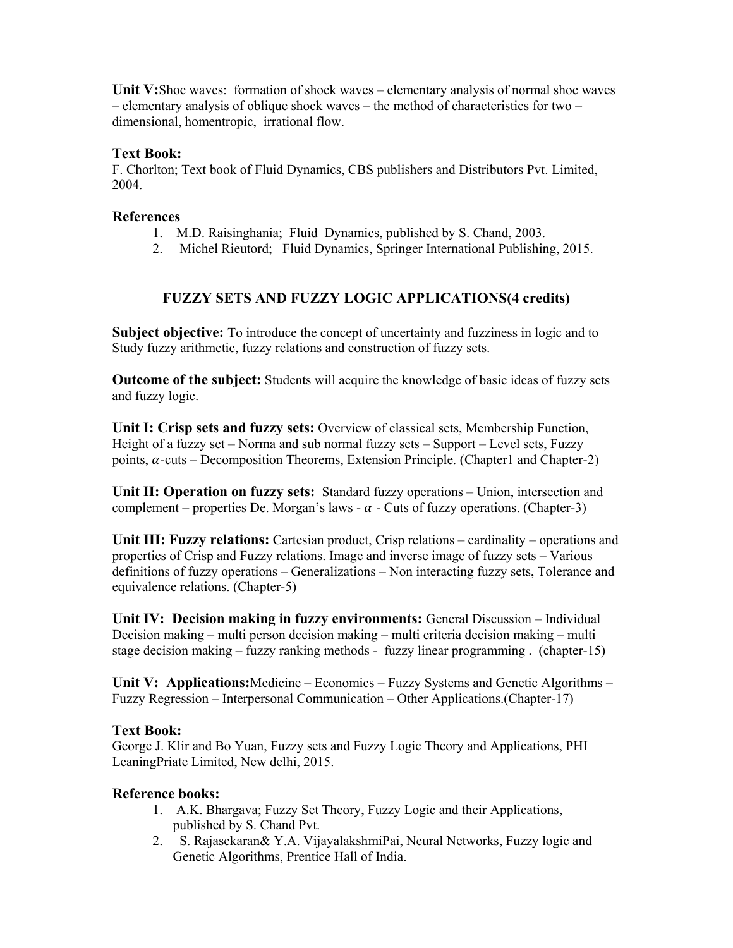**Unit V:**Shoc waves: formation of shock waves – elementary analysis of normal shoc waves – elementary analysis of oblique shock waves – the method of characteristics for two – dimensional, homentropic, irrational flow.

### **Text Book:**

F. Chorlton; Text book of Fluid Dynamics, CBS publishers and Distributors Pvt. Limited, 2004.

### **References**

- 1. M.D. Raisinghania; Fluid Dynamics, published by S. Chand, 2003.
- 2. Michel Rieutord; Fluid Dynamics, Springer International Publishing, 2015.

# **FUZZY SETS AND FUZZY LOGIC APPLICATIONS(4 credits)**

**Subject objective:** To introduce the concept of uncertainty and fuzziness in logic and to Study fuzzy arithmetic, fuzzy relations and construction of fuzzy sets.

**Outcome of the subject:** Students will acquire the knowledge of basic ideas of fuzzy sets and fuzzy logic.

**Unit I: Crisp sets and fuzzy sets:** Overview of classical sets, Membership Function, Height of a fuzzy set – Norma and sub normal fuzzy sets – Support – Level sets, Fuzzy points,  $\alpha$ -cuts – Decomposition Theorems, Extension Principle. (Chapter1 and Chapter-2)

**Unit II: Operation on fuzzy sets:** Standard fuzzy operations – Union, intersection and complement – properties De. Morgan's laws -  $\alpha$  - Cuts of fuzzy operations. (Chapter-3)

**Unit III: Fuzzy relations:** Cartesian product, Crisp relations – cardinality – operations and properties of Crisp and Fuzzy relations. Image and inverse image of fuzzy sets – Various definitions of fuzzy operations – Generalizations – Non interacting fuzzy sets, Tolerance and equivalence relations. (Chapter-5)

**Unit IV: Decision making in fuzzy environments:** General Discussion – Individual Decision making – multi person decision making – multi criteria decision making – multi stage decision making – fuzzy ranking methods - fuzzy linear programming . (chapter-15)

**Unit V: Applications:**Medicine – Economics – Fuzzy Systems and Genetic Algorithms – Fuzzy Regression – Interpersonal Communication – Other Applications.(Chapter-17)

#### **Text Book:**

George J. Klir and Bo Yuan, Fuzzy sets and Fuzzy Logic Theory and Applications, PHI LeaningPriate Limited, New delhi, 2015.

#### **Reference books:**

- 1. A.K. Bhargava; Fuzzy Set Theory, Fuzzy Logic and their Applications, published by S. Chand Pvt.
- 2. S. Rajasekaran& Y.A. VijayalakshmiPai, Neural Networks, Fuzzy logic and Genetic Algorithms, Prentice Hall of India.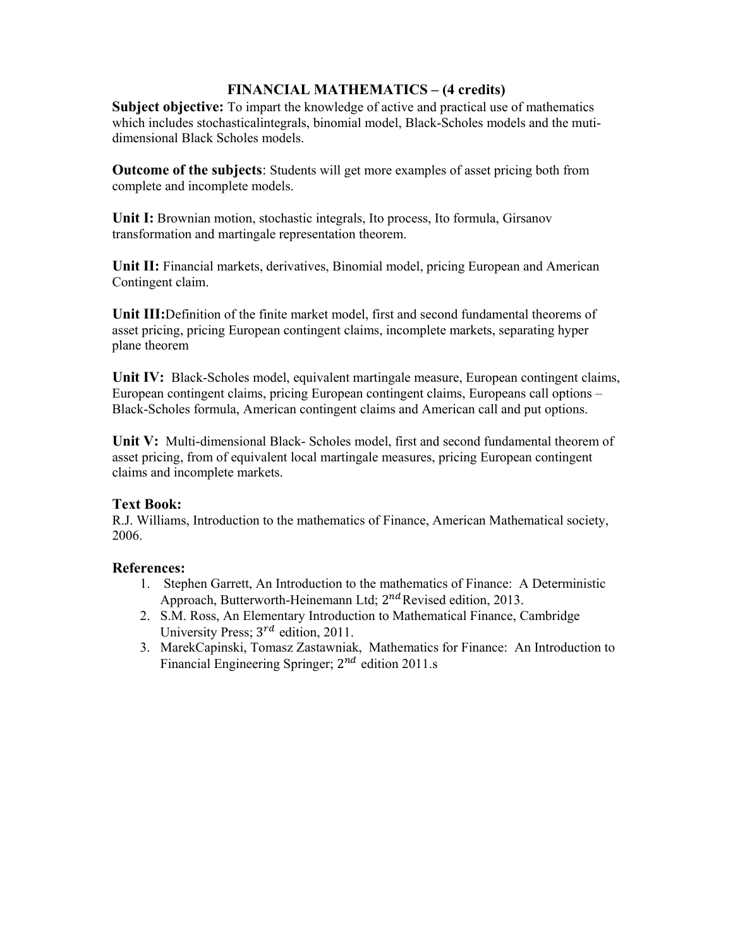# **FINANCIAL MATHEMATICS – (4 credits)**

Subject objective: To impart the knowledge of active and practical use of mathematics which includes stochasticalintegrals, binomial model, Black-Scholes models and the mutidimensional Black Scholes models.

**Outcome of the subjects**: Students will get more examples of asset pricing both from complete and incomplete models.

**Unit I:** Brownian motion, stochastic integrals, Ito process, Ito formula, Girsanov transformation and martingale representation theorem.

**Unit II:** Financial markets, derivatives, Binomial model, pricing European and American Contingent claim.

**Unit III:**Definition of the finite market model, first and second fundamental theorems of asset pricing, pricing European contingent claims, incomplete markets, separating hyper plane theorem

**Unit IV:** Black-Scholes model, equivalent martingale measure, European contingent claims, European contingent claims, pricing European contingent claims, Europeans call options – Black-Scholes formula, American contingent claims and American call and put options.

**Unit V:** Multi-dimensional Black- Scholes model, first and second fundamental theorem of asset pricing, from of equivalent local martingale measures, pricing European contingent claims and incomplete markets.

## **Text Book:**

R.J. Williams, Introduction to the mathematics of Finance, American Mathematical society, 2006.

## **References:**

- 1. Stephen Garrett, An Introduction to the mathematics of Finance: A Deterministic Approach, Butterworth-Heinemann Ltd; 2<sup>nd</sup> Revised edition, 2013.
- 2. S.M. Ross, An Elementary Introduction to Mathematical Finance, Cambridge University Press;  $3^{rd}$  edition, 2011.
- 3. MarekCapinski, Tomasz Zastawniak, Mathematics for Finance: An Introduction to Financial Engineering Springer;  $2^{nd}$  edition 2011.s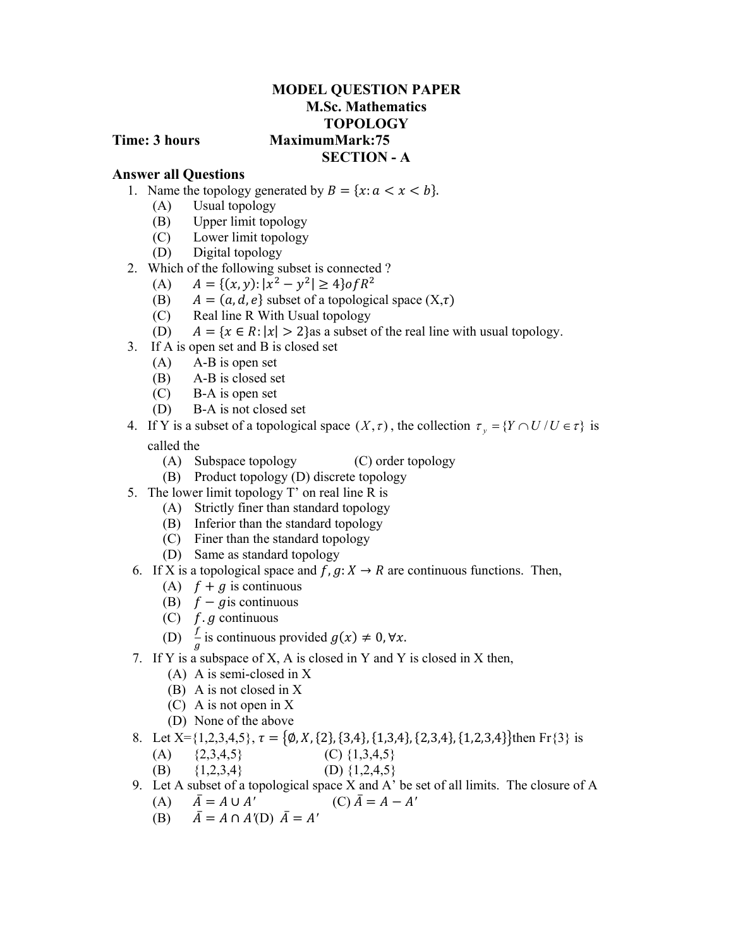## **MODEL QUESTION PAPER M.Sc. Mathematics TOPOLOGY Time: 3 hours MaximumMark:75 SECTION - A**

## **Answer all Questions**

- 1. Name the topology generated by  $B = \{x : a < x < b\}.$ 
	- (A) Usual topology
	- (B) Upper limit topology
	- (C) Lower limit topology
	- (D) Digital topology
- 2. Which of the following subset is connected ?
	- (A)  $A = \{(x, y): |x^2 y^2| \ge 4\} \text{ of } R^2$
	- (B)  $A = (a, d, e)$  subset of a topological space  $(X, \tau)$
	- (C) Real line R With Usual topology
	- (D)  $A = \{x \in R : |x| > 2\}$  as a subset of the real line with usual topology.
- 3. If A is open set and B is closed set
	- (A) A-B is open set
	- (B) A-B is closed set
	- (C) B-A is open set
	- (D) B-A is not closed set

4. If Y is a subset of a topological space  $(X, \tau)$ , the collection  $\tau_y = \{Y \cap U / U \in \tau\}$  is called the

- (A) Subspace topology (C) order topology
- (B) Product topology (D) discrete topology
- 5. The lower limit topology T' on real line R is
	- (A) Strictly finer than standard topology
	- (B) Inferior than the standard topology
	- (C) Finer than the standard topology
	- (D) Same as standard topology
- 6. If X is a topological space and  $f, g: X \to R$  are continuous functions. Then,
	- (A)  $f + g$  is continuous
	- (B)  $f g$  is continuous
	- (C)  $f$ .  $g$  continuous
	- (D)  $\frac{f}{g}$  is continuous provided  $g(x) \neq 0, \forall x$ .
- 7. If Y is a subspace of X, A is closed in Y and Y is closed in X then,
	- (A) A is semi-closed in X
	- (B) A is not closed in X
	- (C) A is not open in X
	- (D) None of the above
- 8. Let  $X = \{1,2,3,4,5\}, \tau = \{\emptyset, X, \{2\}, \{3,4\}, \{1,3,4\}, \{2,3,4\}, \{1,2,3,4\}\}\$ then Fr $\{3\}$  is
	- (A)  ${2,3,4,5}$  (C)  ${1,3,4,5}$
	- (B)  $\{1,2,3,4\}$  (D)  $\{1,2,4,5\}$
- 9. Let A subset of a topological space X and A' be set of all limits. The closure of A
	- (A)  $\bar{A} = A \cup A'$  (C)  $\bar{A} = A A'$
	- (B)  $\bar{A} = A \cap A'(\bar{D}) \bar{A} = A'$